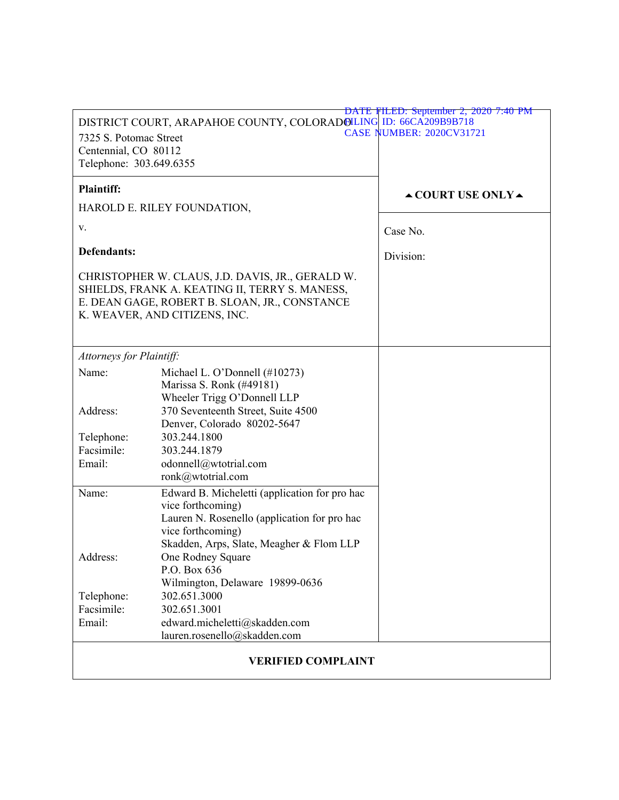| DATE FILED: September 2, 2020 7:40 PM<br>DISTRICT COURT, ARAPAHOE COUNTY, COLORADOLLING ID: 66CA209B9B718<br><b>CASE NUMBER: 2020CV31721</b><br>7325 S. Potomac Street<br>Centennial, CO 80112<br>Telephone: 303.649.6355 |                                                                                                                                                                                     |                                        |  |  |
|---------------------------------------------------------------------------------------------------------------------------------------------------------------------------------------------------------------------------|-------------------------------------------------------------------------------------------------------------------------------------------------------------------------------------|----------------------------------------|--|--|
| <b>Plaintiff:</b>                                                                                                                                                                                                         |                                                                                                                                                                                     | $\triangle$ COURT USE ONLY $\triangle$ |  |  |
| HAROLD E. RILEY FOUNDATION,                                                                                                                                                                                               |                                                                                                                                                                                     |                                        |  |  |
| V.                                                                                                                                                                                                                        |                                                                                                                                                                                     | Case No.                               |  |  |
| <b>Defendants:</b>                                                                                                                                                                                                        |                                                                                                                                                                                     | Division:                              |  |  |
| CHRISTOPHER W. CLAUS, J.D. DAVIS, JR., GERALD W.<br>SHIELDS, FRANK A. KEATING II, TERRY S. MANESS,<br>E. DEAN GAGE, ROBERT B. SLOAN, JR., CONSTANCE<br>K. WEAVER, AND CITIZENS, INC.                                      |                                                                                                                                                                                     |                                        |  |  |
| Attorneys for Plaintiff:                                                                                                                                                                                                  |                                                                                                                                                                                     |                                        |  |  |
| Name:<br>Address:                                                                                                                                                                                                         | Michael L. O'Donnell (#10273)<br>Marissa S. Ronk (#49181)<br>Wheeler Trigg O'Donnell LLP<br>370 Seventeenth Street, Suite 4500                                                      |                                        |  |  |
|                                                                                                                                                                                                                           | Denver, Colorado 80202-5647                                                                                                                                                         |                                        |  |  |
| Telephone:                                                                                                                                                                                                                | 303.244.1800                                                                                                                                                                        |                                        |  |  |
| Facsimile:                                                                                                                                                                                                                | 303.244.1879                                                                                                                                                                        |                                        |  |  |
| Email:                                                                                                                                                                                                                    | odonnell@wtotrial.com<br>ronk@wtotrial.com                                                                                                                                          |                                        |  |  |
| Name:                                                                                                                                                                                                                     | Edward B. Micheletti (application for pro hac<br>vice forthcoming)<br>Lauren N. Rosenello (application for pro hac<br>vice forthcoming)<br>Skadden, Arps, Slate, Meagher & Flom LLP |                                        |  |  |
| Address:                                                                                                                                                                                                                  | One Rodney Square<br>P.O. Box 636<br>Wilmington, Delaware 19899-0636                                                                                                                |                                        |  |  |
| Telephone:                                                                                                                                                                                                                | 302.651.3000                                                                                                                                                                        |                                        |  |  |
| Facsimile:                                                                                                                                                                                                                | 302.651.3001                                                                                                                                                                        |                                        |  |  |
| Email:                                                                                                                                                                                                                    | edward.micheletti@skadden.com<br>lauren.rosenello@skadden.com                                                                                                                       |                                        |  |  |
| <b>VERIFIED COMPLAINT</b>                                                                                                                                                                                                 |                                                                                                                                                                                     |                                        |  |  |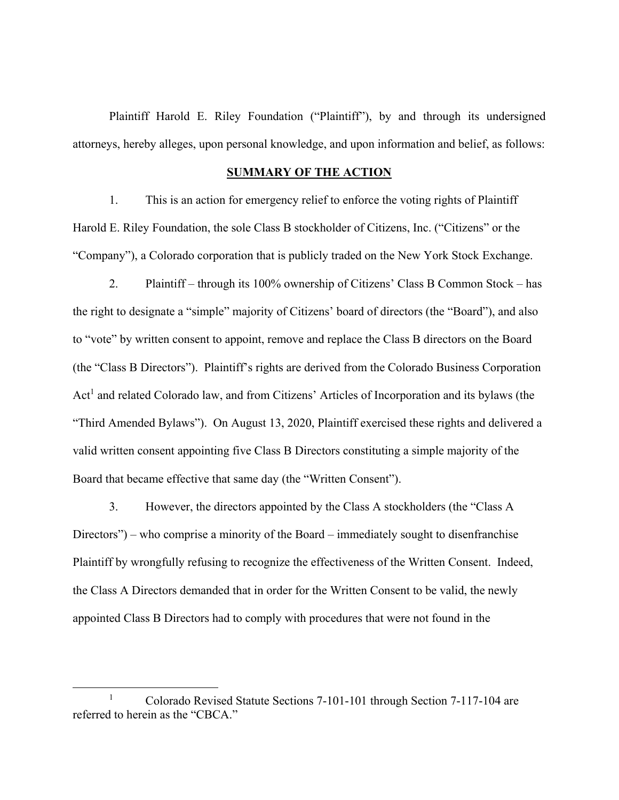Plaintiff Harold E. Riley Foundation ("Plaintiff"), by and through its undersigned attorneys, hereby alleges, upon personal knowledge, and upon information and belief, as follows:

#### **SUMMARY OF THE ACTION**

1. This is an action for emergency relief to enforce the voting rights of Plaintiff Harold E. Riley Foundation, the sole Class B stockholder of Citizens, Inc. ("Citizens" or the "Company"), a Colorado corporation that is publicly traded on the New York Stock Exchange.

2. Plaintiff – through its 100% ownership of Citizens' Class B Common Stock – has the right to designate a "simple" majority of Citizens' board of directors (the "Board"), and also to "vote" by written consent to appoint, remove and replace the Class B directors on the Board (the "Class B Directors"). Plaintiff's rights are derived from the Colorado Business Corporation Act<sup>1</sup> and related Colorado law, and from Citizens' Articles of Incorporation and its bylaws (the "Third Amended Bylaws"). On August 13, 2020, Plaintiff exercised these rights and delivered a valid written consent appointing five Class B Directors constituting a simple majority of the Board that became effective that same day (the "Written Consent").

3. However, the directors appointed by the Class A stockholders (the "Class A Directors") – who comprise a minority of the Board – immediately sought to disenfranchise Plaintiff by wrongfully refusing to recognize the effectiveness of the Written Consent. Indeed, the Class A Directors demanded that in order for the Written Consent to be valid, the newly appointed Class B Directors had to comply with procedures that were not found in the

 $\frac{1}{1}$  Colorado Revised Statute Sections 7-101-101 through Section 7-117-104 are referred to herein as the "CBCA."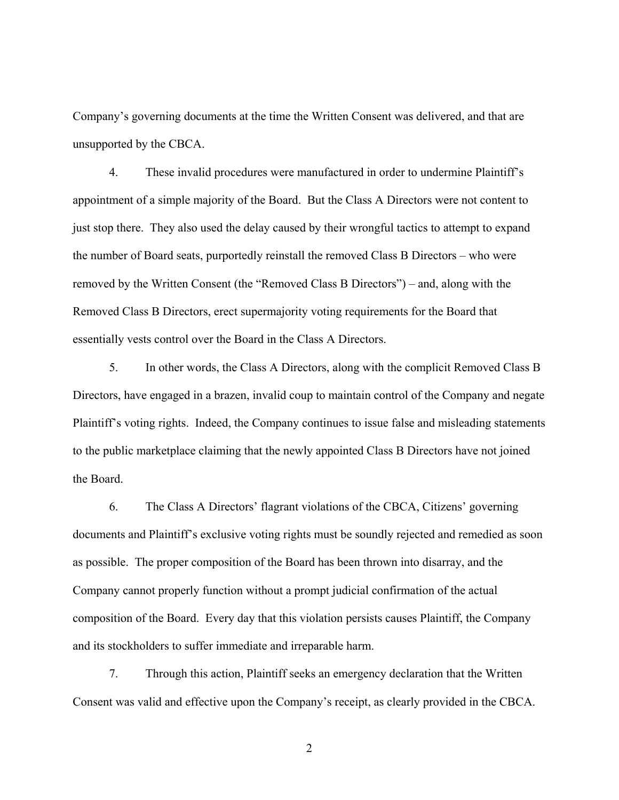Company's governing documents at the time the Written Consent was delivered, and that are unsupported by the CBCA.

4. These invalid procedures were manufactured in order to undermine Plaintiff's appointment of a simple majority of the Board. But the Class A Directors were not content to just stop there. They also used the delay caused by their wrongful tactics to attempt to expand the number of Board seats, purportedly reinstall the removed Class B Directors – who were removed by the Written Consent (the "Removed Class B Directors") – and, along with the Removed Class B Directors, erect supermajority voting requirements for the Board that essentially vests control over the Board in the Class A Directors.

5. In other words, the Class A Directors, along with the complicit Removed Class B Directors, have engaged in a brazen, invalid coup to maintain control of the Company and negate Plaintiff's voting rights. Indeed, the Company continues to issue false and misleading statements to the public marketplace claiming that the newly appointed Class B Directors have not joined the Board.

6. The Class A Directors' flagrant violations of the CBCA, Citizens' governing documents and Plaintiff's exclusive voting rights must be soundly rejected and remedied as soon as possible. The proper composition of the Board has been thrown into disarray, and the Company cannot properly function without a prompt judicial confirmation of the actual composition of the Board. Every day that this violation persists causes Plaintiff, the Company and its stockholders to suffer immediate and irreparable harm.

7. Through this action, Plaintiff seeks an emergency declaration that the Written Consent was valid and effective upon the Company's receipt, as clearly provided in the CBCA.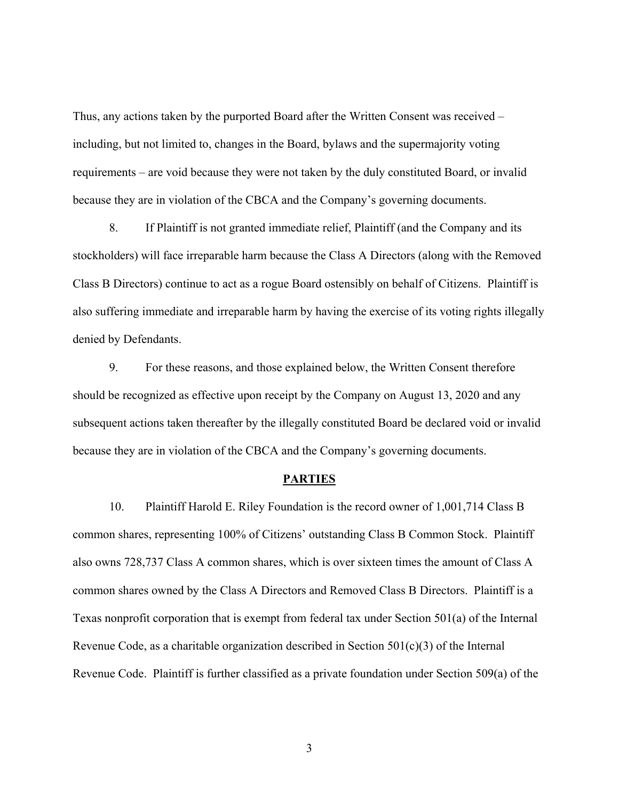Thus, any actions taken by the purported Board after the Written Consent was received – including, but not limited to, changes in the Board, bylaws and the supermajority voting requirements – are void because they were not taken by the duly constituted Board, or invalid because they are in violation of the CBCA and the Company's governing documents.

8. If Plaintiff is not granted immediate relief, Plaintiff (and the Company and its stockholders) will face irreparable harm because the Class A Directors (along with the Removed Class B Directors) continue to act as a rogue Board ostensibly on behalf of Citizens. Plaintiff is also suffering immediate and irreparable harm by having the exercise of its voting rights illegally denied by Defendants.

9. For these reasons, and those explained below, the Written Consent therefore should be recognized as effective upon receipt by the Company on August 13, 2020 and any subsequent actions taken thereafter by the illegally constituted Board be declared void or invalid because they are in violation of the CBCA and the Company's governing documents.

#### **PARTIES**

10. Plaintiff Harold E. Riley Foundation is the record owner of 1,001,714 Class B common shares, representing 100% of Citizens' outstanding Class B Common Stock. Plaintiff also owns 728,737 Class A common shares, which is over sixteen times the amount of Class A common shares owned by the Class A Directors and Removed Class B Directors. Plaintiff is a Texas nonprofit corporation that is exempt from federal tax under Section 501(a) of the Internal Revenue Code, as a charitable organization described in Section 501(c)(3) of the Internal Revenue Code. Plaintiff is further classified as a private foundation under Section 509(a) of the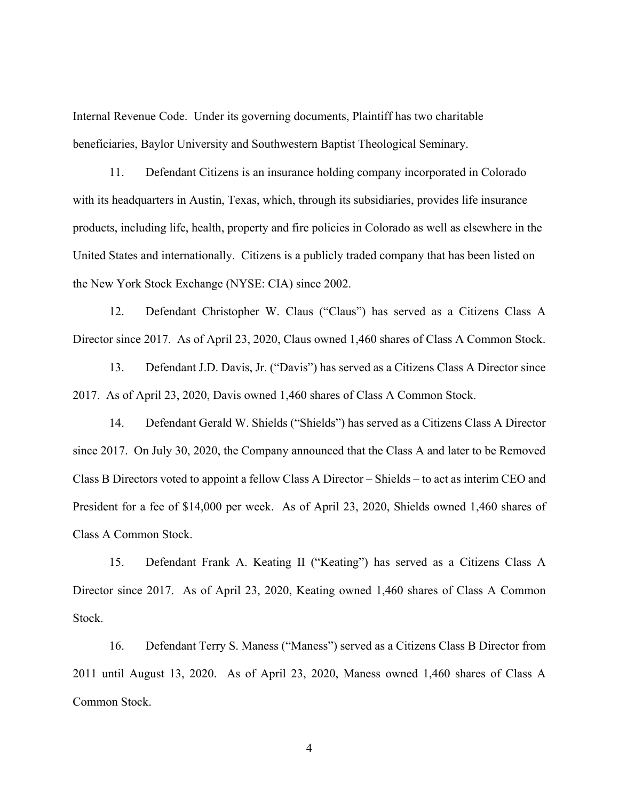Internal Revenue Code. Under its governing documents, Plaintiff has two charitable beneficiaries, Baylor University and Southwestern Baptist Theological Seminary.

11. Defendant Citizens is an insurance holding company incorporated in Colorado with its headquarters in Austin, Texas, which, through its subsidiaries, provides life insurance products, including life, health, property and fire policies in Colorado as well as elsewhere in the United States and internationally. Citizens is a publicly traded company that has been listed on the New York Stock Exchange (NYSE: CIA) since 2002.

12. Defendant Christopher W. Claus ("Claus") has served as a Citizens Class A Director since 2017. As of April 23, 2020, Claus owned 1,460 shares of Class A Common Stock.

13. Defendant J.D. Davis, Jr. ("Davis") has served as a Citizens Class A Director since 2017. As of April 23, 2020, Davis owned 1,460 shares of Class A Common Stock.

14. Defendant Gerald W. Shields ("Shields") has served as a Citizens Class A Director since 2017. On July 30, 2020, the Company announced that the Class A and later to be Removed Class B Directors voted to appoint a fellow Class A Director – Shields – to act as interim CEO and President for a fee of \$14,000 per week. As of April 23, 2020, Shields owned 1,460 shares of Class A Common Stock.

15. Defendant Frank A. Keating II ("Keating") has served as a Citizens Class A Director since 2017. As of April 23, 2020, Keating owned 1,460 shares of Class A Common Stock.

16. Defendant Terry S. Maness ("Maness") served as a Citizens Class B Director from 2011 until August 13, 2020. As of April 23, 2020, Maness owned 1,460 shares of Class A Common Stock.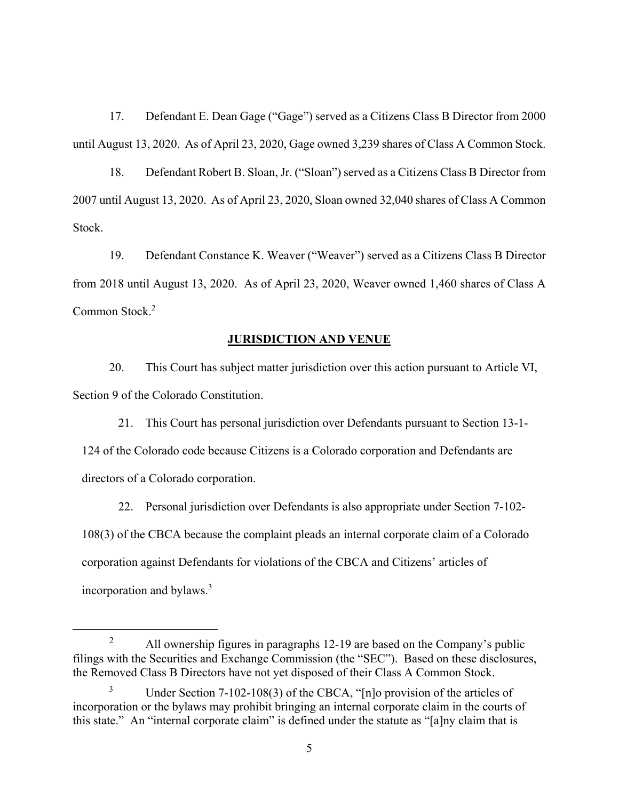17. Defendant E. Dean Gage ("Gage") served as a Citizens Class B Director from 2000 until August 13, 2020. As of April 23, 2020, Gage owned 3,239 shares of Class A Common Stock.

18. Defendant Robert B. Sloan, Jr. ("Sloan") served as a Citizens Class B Director from 2007 until August 13, 2020. As of April 23, 2020, Sloan owned 32,040 shares of Class A Common Stock.

19. Defendant Constance K. Weaver ("Weaver") served as a Citizens Class B Director from 2018 until August 13, 2020. As of April 23, 2020, Weaver owned 1,460 shares of Class A Common Stock.2

### **JURISDICTION AND VENUE**

20. This Court has subject matter jurisdiction over this action pursuant to Article VI, Section 9 of the Colorado Constitution.

21. This Court has personal jurisdiction over Defendants pursuant to Section 13-1- 124 of the Colorado code because Citizens is a Colorado corporation and Defendants are directors of a Colorado corporation.

22. Personal jurisdiction over Defendants is also appropriate under Section 7-102- 108(3) of the CBCA because the complaint pleads an internal corporate claim of a Colorado corporation against Defendants for violations of the CBCA and Citizens' articles of incorporation and bylaws.3

 $\overline{\phantom{2}}$ <sup>2</sup> All ownership figures in paragraphs  $12-19$  are based on the Company's public filings with the Securities and Exchange Commission (the "SEC"). Based on these disclosures, the Removed Class B Directors have not yet disposed of their Class A Common Stock.

<sup>3</sup> Under Section 7-102-108(3) of the CBCA, "[n]o provision of the articles of incorporation or the bylaws may prohibit bringing an internal corporate claim in the courts of this state." An "internal corporate claim" is defined under the statute as "[a]ny claim that is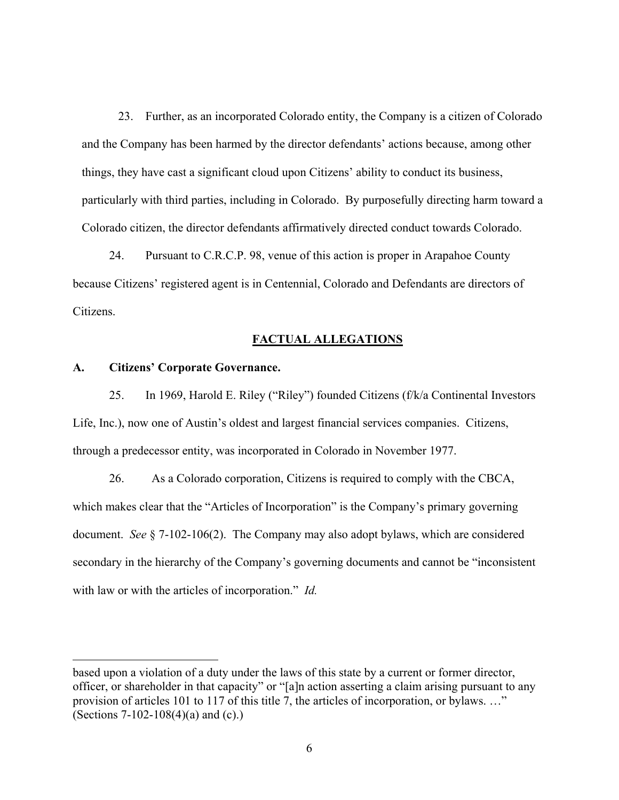23. Further, as an incorporated Colorado entity, the Company is a citizen of Colorado and the Company has been harmed by the director defendants' actions because, among other things, they have cast a significant cloud upon Citizens' ability to conduct its business, particularly with third parties, including in Colorado. By purposefully directing harm toward a Colorado citizen, the director defendants affirmatively directed conduct towards Colorado.

24. Pursuant to C.R.C.P. 98, venue of this action is proper in Arapahoe County because Citizens' registered agent is in Centennial, Colorado and Defendants are directors of Citizens.

### **FACTUAL ALLEGATIONS**

### **A. Citizens' Corporate Governance.**

 $\overline{a}$ 

25. In 1969, Harold E. Riley ("Riley") founded Citizens (f/k/a Continental Investors Life, Inc.), now one of Austin's oldest and largest financial services companies. Citizens, through a predecessor entity, was incorporated in Colorado in November 1977.

26. As a Colorado corporation, Citizens is required to comply with the CBCA, which makes clear that the "Articles of Incorporation" is the Company's primary governing document. *See* § 7-102-106(2). The Company may also adopt bylaws, which are considered secondary in the hierarchy of the Company's governing documents and cannot be "inconsistent with law or with the articles of incorporation." *Id.*

based upon a violation of a duty under the laws of this state by a current or former director, officer, or shareholder in that capacity" or "[a]n action asserting a claim arising pursuant to any provision of articles 101 to 117 of this title 7, the articles of incorporation, or bylaws. …" (Sections 7-102-108(4)(a) and (c).)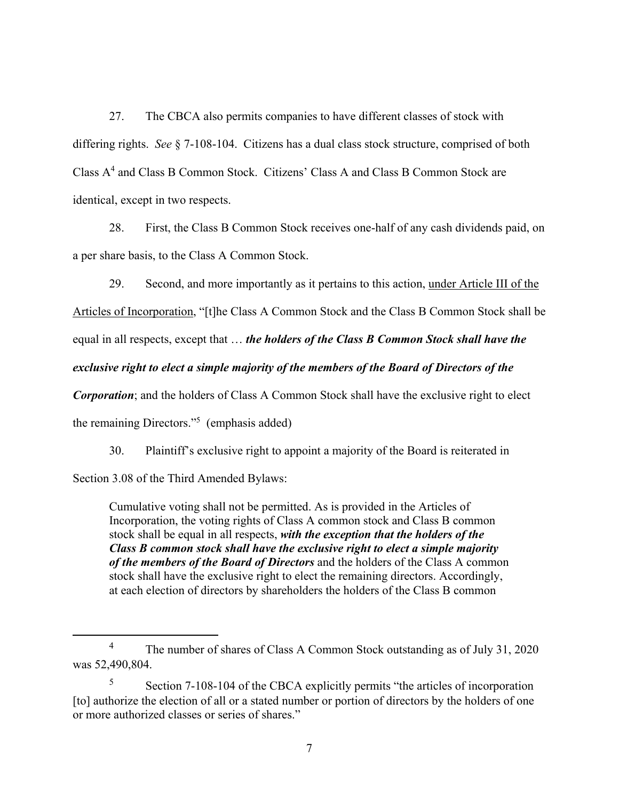27. The CBCA also permits companies to have different classes of stock with differing rights. *See* § 7-108-104. Citizens has a dual class stock structure, comprised of both Class A<sup>4</sup> and Class B Common Stock. Citizens' Class A and Class B Common Stock are identical, except in two respects.

28. First, the Class B Common Stock receives one-half of any cash dividends paid, on a per share basis, to the Class A Common Stock.

29. Second, and more importantly as it pertains to this action, under Article III of the

Articles of Incorporation, "[t]he Class A Common Stock and the Class B Common Stock shall be

equal in all respects, except that … *the holders of the Class B Common Stock shall have the* 

*exclusive right to elect a simple majority of the members of the Board of Directors of the* 

*Corporation*; and the holders of Class A Common Stock shall have the exclusive right to elect

the remaining Directors."5 (emphasis added)

30. Plaintiff's exclusive right to appoint a majority of the Board is reiterated in

Section 3.08 of the Third Amended Bylaws:

Cumulative voting shall not be permitted. As is provided in the Articles of Incorporation, the voting rights of Class A common stock and Class B common stock shall be equal in all respects, *with the exception that the holders of the Class B common stock shall have the exclusive right to elect a simple majority of the members of the Board of Directors* and the holders of the Class A common stock shall have the exclusive right to elect the remaining directors. Accordingly, at each election of directors by shareholders the holders of the Class B common

 $\overline{4}$ <sup>4</sup> The number of shares of Class A Common Stock outstanding as of July 31, 2020 was 52,490,804.

<sup>5</sup> Section 7-108-104 of the CBCA explicitly permits "the articles of incorporation [to] authorize the election of all or a stated number or portion of directors by the holders of one or more authorized classes or series of shares."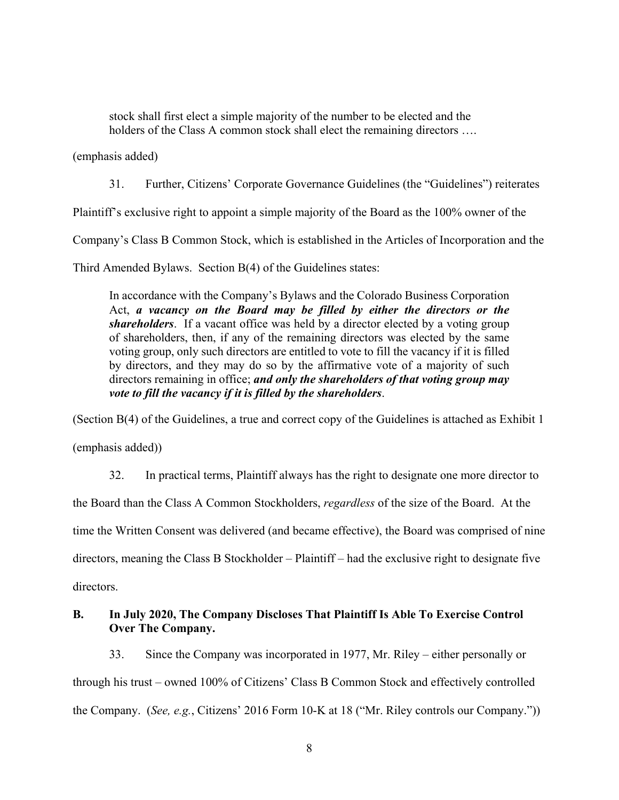stock shall first elect a simple majority of the number to be elected and the holders of the Class A common stock shall elect the remaining directors ....

(emphasis added)

31. Further, Citizens' Corporate Governance Guidelines (the "Guidelines") reiterates

Plaintiff's exclusive right to appoint a simple majority of the Board as the 100% owner of the

Company's Class B Common Stock, which is established in the Articles of Incorporation and the

Third Amended Bylaws. Section B(4) of the Guidelines states:

In accordance with the Company's Bylaws and the Colorado Business Corporation Act, *a vacancy on the Board may be filled by either the directors or the shareholders*. If a vacant office was held by a director elected by a voting group of shareholders, then, if any of the remaining directors was elected by the same voting group, only such directors are entitled to vote to fill the vacancy if it is filled by directors, and they may do so by the affirmative vote of a majority of such directors remaining in office; *and only the shareholders of that voting group may vote to fill the vacancy if it is filled by the shareholders*.

(Section B(4) of the Guidelines, a true and correct copy of the Guidelines is attached as Exhibit 1

(emphasis added))

32. In practical terms, Plaintiff always has the right to designate one more director to the Board than the Class A Common Stockholders, *regardless* of the size of the Board. At the time the Written Consent was delivered (and became effective), the Board was comprised of nine directors, meaning the Class B Stockholder – Plaintiff – had the exclusive right to designate five directors.

# **B. In July 2020, The Company Discloses That Plaintiff Is Able To Exercise Control Over The Company.**

33. Since the Company was incorporated in 1977, Mr. Riley – either personally or

through his trust – owned 100% of Citizens' Class B Common Stock and effectively controlled

the Company. (*See, e.g.*, Citizens' 2016 Form 10-K at 18 ("Mr. Riley controls our Company."))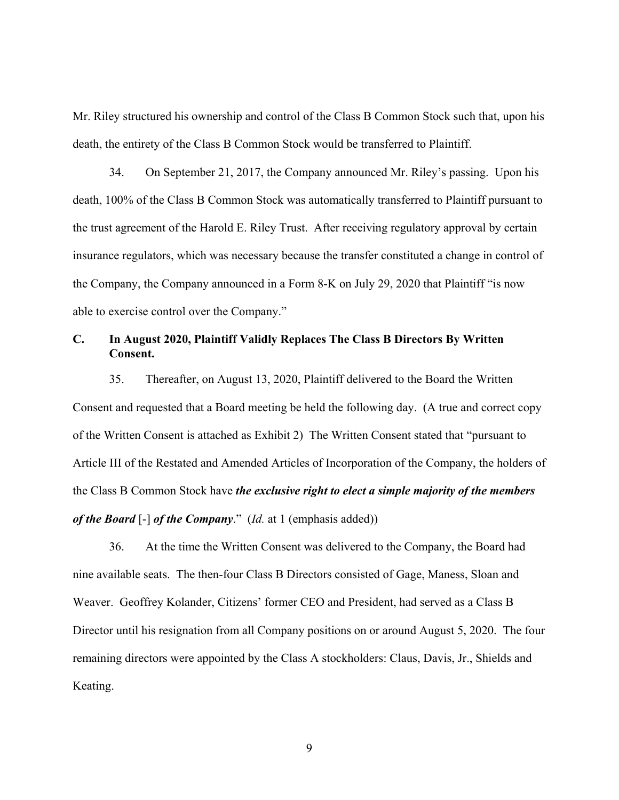Mr. Riley structured his ownership and control of the Class B Common Stock such that, upon his death, the entirety of the Class B Common Stock would be transferred to Plaintiff.

34. On September 21, 2017, the Company announced Mr. Riley's passing. Upon his death, 100% of the Class B Common Stock was automatically transferred to Plaintiff pursuant to the trust agreement of the Harold E. Riley Trust. After receiving regulatory approval by certain insurance regulators, which was necessary because the transfer constituted a change in control of the Company, the Company announced in a Form 8-K on July 29, 2020 that Plaintiff "is now able to exercise control over the Company."

# **C. In August 2020, Plaintiff Validly Replaces The Class B Directors By Written Consent.**

35. Thereafter, on August 13, 2020, Plaintiff delivered to the Board the Written Consent and requested that a Board meeting be held the following day. (A true and correct copy of the Written Consent is attached as Exhibit 2) The Written Consent stated that "pursuant to Article III of the Restated and Amended Articles of Incorporation of the Company, the holders of the Class B Common Stock have *the exclusive right to elect a simple majority of the members of the Board* [-] *of the Company*." (*Id.* at 1 (emphasis added))

36. At the time the Written Consent was delivered to the Company, the Board had nine available seats. The then-four Class B Directors consisted of Gage, Maness, Sloan and Weaver. Geoffrey Kolander, Citizens' former CEO and President, had served as a Class B Director until his resignation from all Company positions on or around August 5, 2020. The four remaining directors were appointed by the Class A stockholders: Claus, Davis, Jr., Shields and Keating.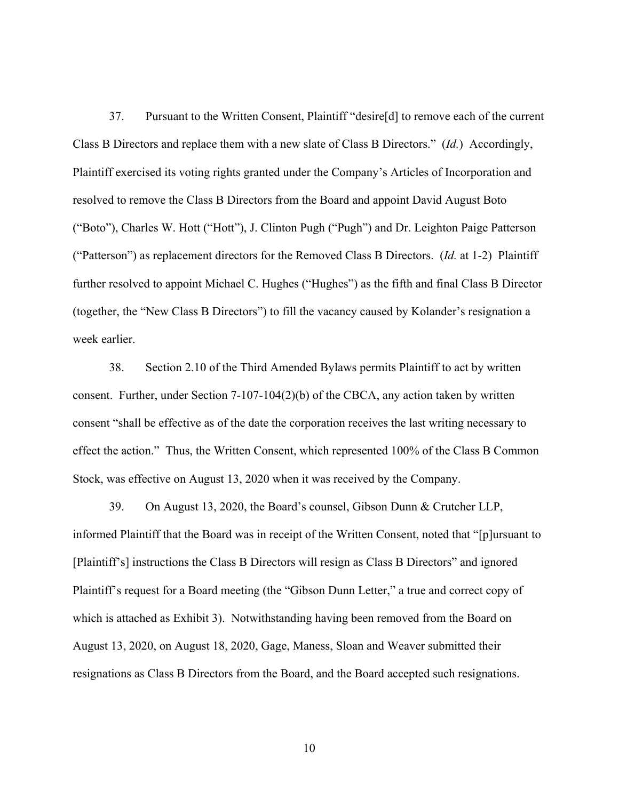37. Pursuant to the Written Consent, Plaintiff "desire[d] to remove each of the current Class B Directors and replace them with a new slate of Class B Directors." (*Id.*) Accordingly, Plaintiff exercised its voting rights granted under the Company's Articles of Incorporation and resolved to remove the Class B Directors from the Board and appoint David August Boto ("Boto"), Charles W. Hott ("Hott"), J. Clinton Pugh ("Pugh") and Dr. Leighton Paige Patterson ("Patterson") as replacement directors for the Removed Class B Directors. (*Id.* at 1-2) Plaintiff further resolved to appoint Michael C. Hughes ("Hughes") as the fifth and final Class B Director (together, the "New Class B Directors") to fill the vacancy caused by Kolander's resignation a week earlier.

38. Section 2.10 of the Third Amended Bylaws permits Plaintiff to act by written consent. Further, under Section  $7-107-104(2)(b)$  of the CBCA, any action taken by written consent "shall be effective as of the date the corporation receives the last writing necessary to effect the action." Thus, the Written Consent, which represented 100% of the Class B Common Stock, was effective on August 13, 2020 when it was received by the Company.

39. On August 13, 2020, the Board's counsel, Gibson Dunn & Crutcher LLP, informed Plaintiff that the Board was in receipt of the Written Consent, noted that "[p]ursuant to [Plaintiff's] instructions the Class B Directors will resign as Class B Directors" and ignored Plaintiff's request for a Board meeting (the "Gibson Dunn Letter," a true and correct copy of which is attached as Exhibit 3). Notwithstanding having been removed from the Board on August 13, 2020, on August 18, 2020, Gage, Maness, Sloan and Weaver submitted their resignations as Class B Directors from the Board, and the Board accepted such resignations.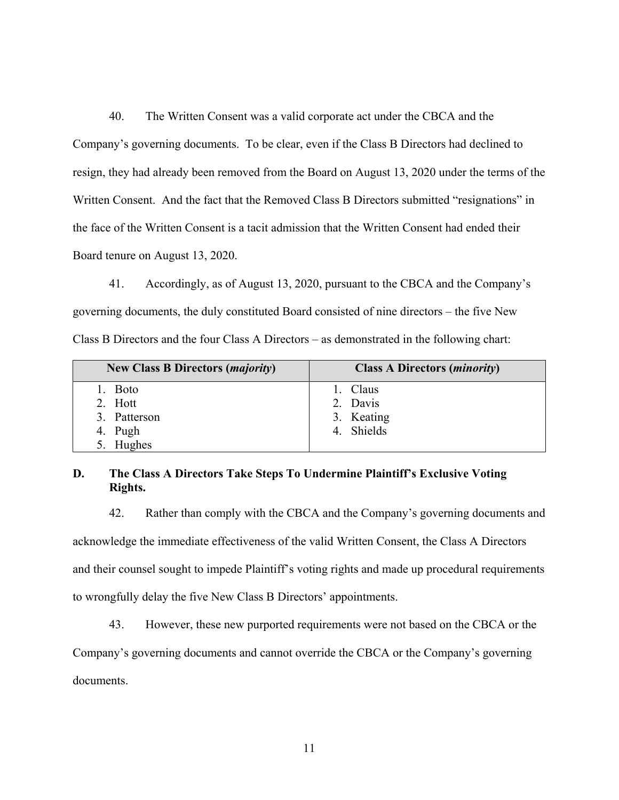40. The Written Consent was a valid corporate act under the CBCA and the Company's governing documents. To be clear, even if the Class B Directors had declined to resign, they had already been removed from the Board on August 13, 2020 under the terms of the Written Consent. And the fact that the Removed Class B Directors submitted "resignations" in the face of the Written Consent is a tacit admission that the Written Consent had ended their Board tenure on August 13, 2020.

41. Accordingly, as of August 13, 2020, pursuant to the CBCA and the Company's governing documents, the duly constituted Board consisted of nine directors – the five New Class B Directors and the four Class A Directors – as demonstrated in the following chart:

| <b>New Class B Directors (majority)</b> | <b>Class A Directors (minority)</b> |
|-----------------------------------------|-------------------------------------|
| <b>Boto</b>                             | 1. Claus                            |
| 2. Hott                                 | 2. Davis                            |
| 3. Patterson                            | 3. Keating                          |
| 4. Pugh                                 | 4. Shields                          |
| 5. Hughes                               |                                     |

# **D. The Class A Directors Take Steps To Undermine Plaintiff's Exclusive Voting Rights.**

42. Rather than comply with the CBCA and the Company's governing documents and acknowledge the immediate effectiveness of the valid Written Consent, the Class A Directors and their counsel sought to impede Plaintiff's voting rights and made up procedural requirements to wrongfully delay the five New Class B Directors' appointments.

43. However, these new purported requirements were not based on the CBCA or the

Company's governing documents and cannot override the CBCA or the Company's governing documents.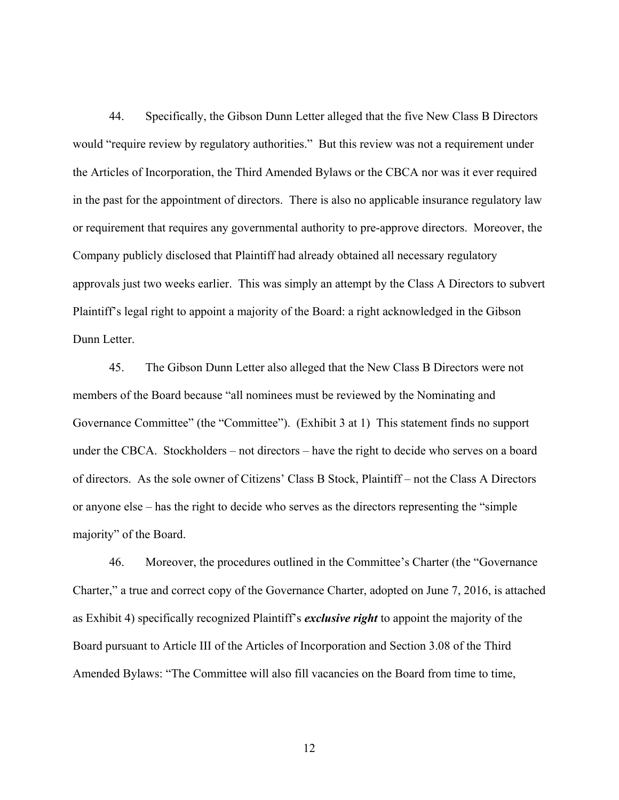44. Specifically, the Gibson Dunn Letter alleged that the five New Class B Directors would "require review by regulatory authorities." But this review was not a requirement under the Articles of Incorporation, the Third Amended Bylaws or the CBCA nor was it ever required in the past for the appointment of directors. There is also no applicable insurance regulatory law or requirement that requires any governmental authority to pre-approve directors. Moreover, the Company publicly disclosed that Plaintiff had already obtained all necessary regulatory approvals just two weeks earlier. This was simply an attempt by the Class A Directors to subvert Plaintiff's legal right to appoint a majority of the Board: a right acknowledged in the Gibson Dunn Letter.

45. The Gibson Dunn Letter also alleged that the New Class B Directors were not members of the Board because "all nominees must be reviewed by the Nominating and Governance Committee" (the "Committee"). (Exhibit 3 at 1) This statement finds no support under the CBCA. Stockholders – not directors – have the right to decide who serves on a board of directors. As the sole owner of Citizens' Class B Stock, Plaintiff – not the Class A Directors or anyone else – has the right to decide who serves as the directors representing the "simple majority" of the Board.

46. Moreover, the procedures outlined in the Committee's Charter (the "Governance Charter," a true and correct copy of the Governance Charter, adopted on June 7, 2016, is attached as Exhibit 4) specifically recognized Plaintiff's *exclusive right* to appoint the majority of the Board pursuant to Article III of the Articles of Incorporation and Section 3.08 of the Third Amended Bylaws: "The Committee will also fill vacancies on the Board from time to time,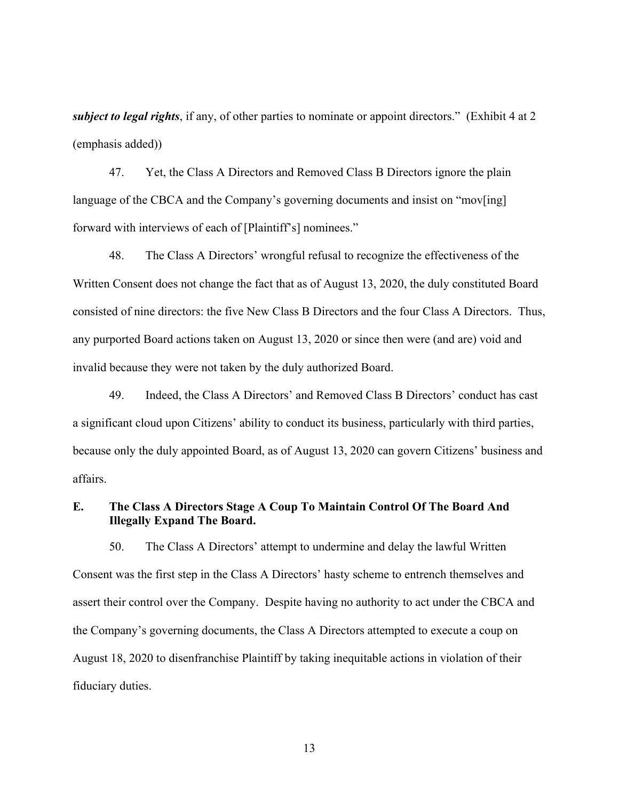*subject to legal rights*, if any, of other parties to nominate or appoint directors." (Exhibit 4 at 2 (emphasis added))

47. Yet, the Class A Directors and Removed Class B Directors ignore the plain language of the CBCA and the Company's governing documents and insist on "mov[ing] forward with interviews of each of [Plaintiff's] nominees."

48. The Class A Directors' wrongful refusal to recognize the effectiveness of the Written Consent does not change the fact that as of August 13, 2020, the duly constituted Board consisted of nine directors: the five New Class B Directors and the four Class A Directors. Thus, any purported Board actions taken on August 13, 2020 or since then were (and are) void and invalid because they were not taken by the duly authorized Board.

49. Indeed, the Class A Directors' and Removed Class B Directors' conduct has cast a significant cloud upon Citizens' ability to conduct its business, particularly with third parties, because only the duly appointed Board, as of August 13, 2020 can govern Citizens' business and affairs.

# **E. The Class A Directors Stage A Coup To Maintain Control Of The Board And Illegally Expand The Board.**

50. The Class A Directors' attempt to undermine and delay the lawful Written Consent was the first step in the Class A Directors' hasty scheme to entrench themselves and assert their control over the Company. Despite having no authority to act under the CBCA and the Company's governing documents, the Class A Directors attempted to execute a coup on August 18, 2020 to disenfranchise Plaintiff by taking inequitable actions in violation of their fiduciary duties.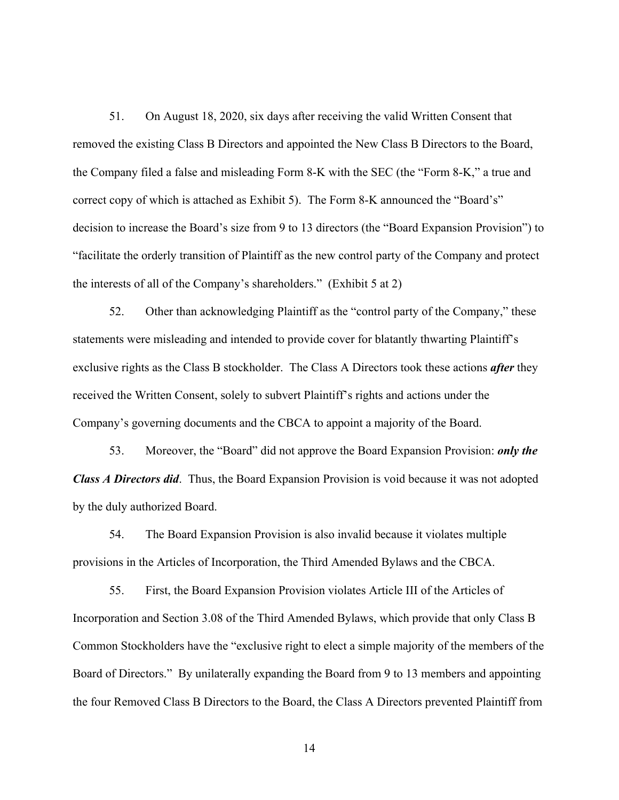51. On August 18, 2020, six days after receiving the valid Written Consent that removed the existing Class B Directors and appointed the New Class B Directors to the Board, the Company filed a false and misleading Form 8-K with the SEC (the "Form 8-K," a true and correct copy of which is attached as Exhibit 5). The Form 8-K announced the "Board's" decision to increase the Board's size from 9 to 13 directors (the "Board Expansion Provision") to "facilitate the orderly transition of Plaintiff as the new control party of the Company and protect the interests of all of the Company's shareholders." (Exhibit 5 at 2)

52. Other than acknowledging Plaintiff as the "control party of the Company," these statements were misleading and intended to provide cover for blatantly thwarting Plaintiff's exclusive rights as the Class B stockholder. The Class A Directors took these actions *after* they received the Written Consent, solely to subvert Plaintiff's rights and actions under the Company's governing documents and the CBCA to appoint a majority of the Board.

53. Moreover, the "Board" did not approve the Board Expansion Provision: *only the Class A Directors did*. Thus, the Board Expansion Provision is void because it was not adopted by the duly authorized Board.

54. The Board Expansion Provision is also invalid because it violates multiple provisions in the Articles of Incorporation, the Third Amended Bylaws and the CBCA.

55. First, the Board Expansion Provision violates Article III of the Articles of Incorporation and Section 3.08 of the Third Amended Bylaws, which provide that only Class B Common Stockholders have the "exclusive right to elect a simple majority of the members of the Board of Directors." By unilaterally expanding the Board from 9 to 13 members and appointing the four Removed Class B Directors to the Board, the Class A Directors prevented Plaintiff from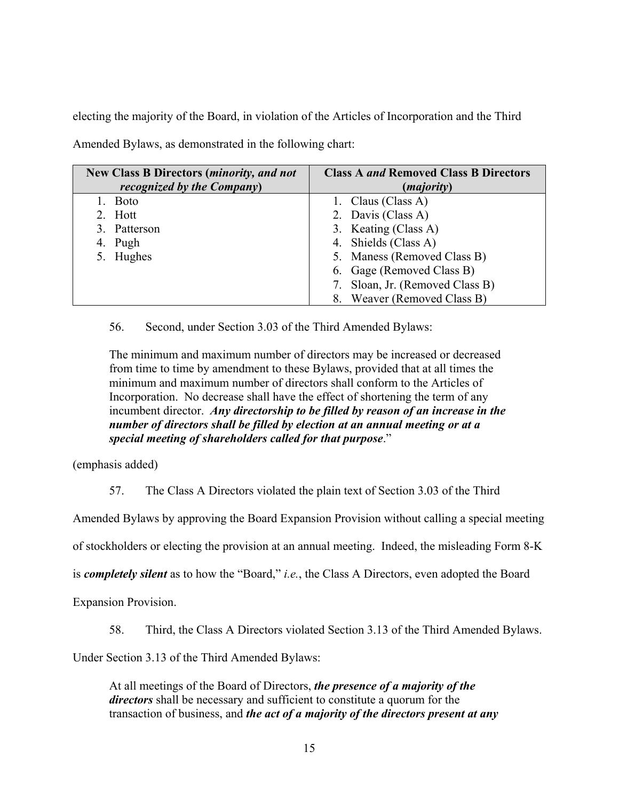electing the majority of the Board, in violation of the Articles of Incorporation and the Third

| <b>New Class B Directors (minority, and not</b> | <b>Class A and Removed Class B Directors</b> |  |
|-------------------------------------------------|----------------------------------------------|--|
| <i>recognized by the Company</i> )              | ( <i>majority</i> )                          |  |
| <b>Boto</b>                                     | 1. Claus (Class A)                           |  |
| 2. Hott                                         | 2. Davis (Class A)                           |  |
| 3. Patterson                                    | 3. Keating (Class A)                         |  |
| 4. Pugh                                         | 4. Shields (Class A)                         |  |
| 5. Hughes                                       | 5. Maness (Removed Class B)                  |  |
|                                                 | 6. Gage (Removed Class B)                    |  |
|                                                 | 7. Sloan, Jr. (Removed Class B)              |  |
|                                                 | 8. Weaver (Removed Class B)                  |  |

Amended Bylaws, as demonstrated in the following chart:

56. Second, under Section 3.03 of the Third Amended Bylaws:

The minimum and maximum number of directors may be increased or decreased from time to time by amendment to these Bylaws, provided that at all times the minimum and maximum number of directors shall conform to the Articles of Incorporation. No decrease shall have the effect of shortening the term of any incumbent director. *Any directorship to be filled by reason of an increase in the number of directors shall be filled by election at an annual meeting or at a special meeting of shareholders called for that purpose*."

(emphasis added)

57. The Class A Directors violated the plain text of Section 3.03 of the Third

Amended Bylaws by approving the Board Expansion Provision without calling a special meeting

of stockholders or electing the provision at an annual meeting. Indeed, the misleading Form 8-K

is *completely silent* as to how the "Board," *i.e.*, the Class A Directors, even adopted the Board

Expansion Provision.

58. Third, the Class A Directors violated Section 3.13 of the Third Amended Bylaws.

Under Section 3.13 of the Third Amended Bylaws:

At all meetings of the Board of Directors, *the presence of a majority of the directors* shall be necessary and sufficient to constitute a quorum for the transaction of business, and *the act of a majority of the directors present at any*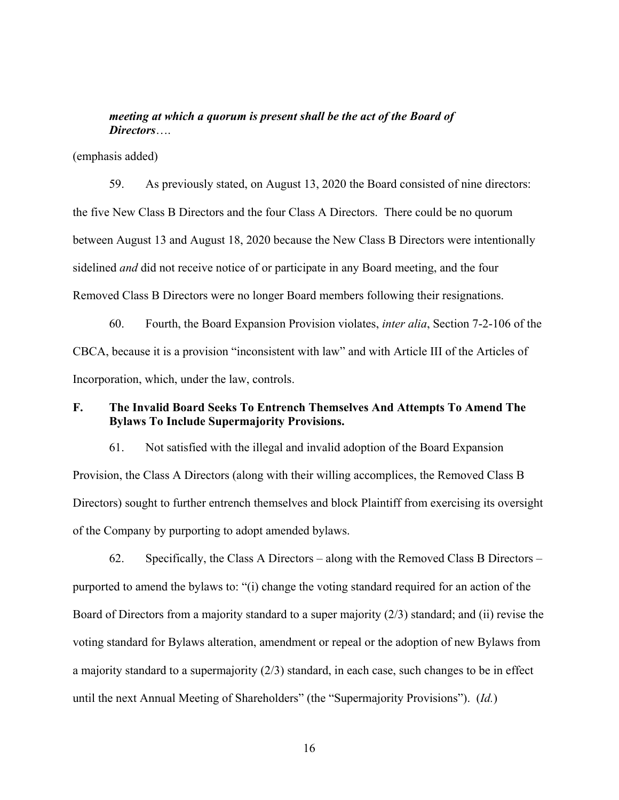## *meeting at which a quorum is present shall be the act of the Board of Directors*….

(emphasis added)

59. As previously stated, on August 13, 2020 the Board consisted of nine directors: the five New Class B Directors and the four Class A Directors. There could be no quorum between August 13 and August 18, 2020 because the New Class B Directors were intentionally sidelined *and* did not receive notice of or participate in any Board meeting, and the four Removed Class B Directors were no longer Board members following their resignations.

60. Fourth, the Board Expansion Provision violates, *inter alia*, Section 7-2-106 of the CBCA, because it is a provision "inconsistent with law" and with Article III of the Articles of Incorporation, which, under the law, controls.

# **F. The Invalid Board Seeks To Entrench Themselves And Attempts To Amend The Bylaws To Include Supermajority Provisions.**

61. Not satisfied with the illegal and invalid adoption of the Board Expansion Provision, the Class A Directors (along with their willing accomplices, the Removed Class B Directors) sought to further entrench themselves and block Plaintiff from exercising its oversight of the Company by purporting to adopt amended bylaws.

62. Specifically, the Class A Directors – along with the Removed Class B Directors – purported to amend the bylaws to: "(i) change the voting standard required for an action of the Board of Directors from a majority standard to a super majority (2/3) standard; and (ii) revise the voting standard for Bylaws alteration, amendment or repeal or the adoption of new Bylaws from a majority standard to a supermajority (2/3) standard, in each case, such changes to be in effect until the next Annual Meeting of Shareholders" (the "Supermajority Provisions"). (*Id.*)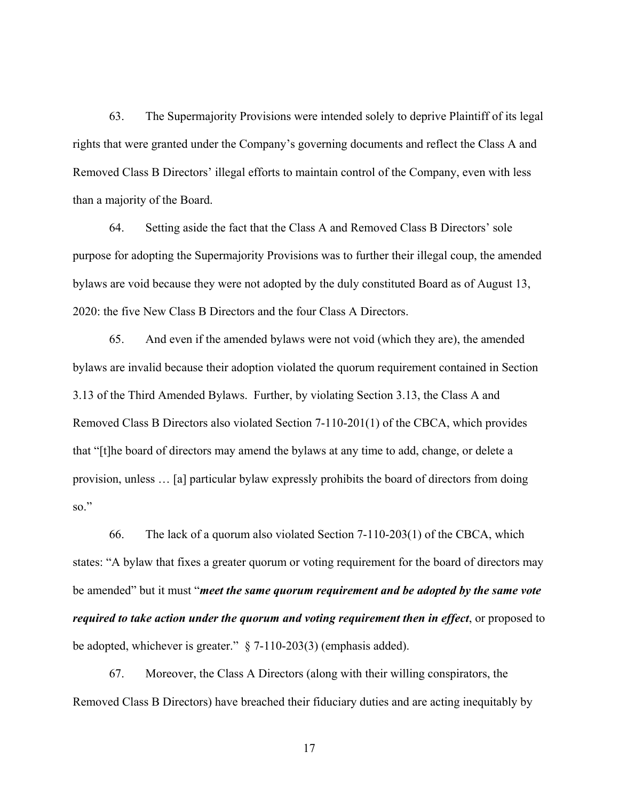63. The Supermajority Provisions were intended solely to deprive Plaintiff of its legal rights that were granted under the Company's governing documents and reflect the Class A and Removed Class B Directors' illegal efforts to maintain control of the Company, even with less than a majority of the Board.

64. Setting aside the fact that the Class A and Removed Class B Directors' sole purpose for adopting the Supermajority Provisions was to further their illegal coup, the amended bylaws are void because they were not adopted by the duly constituted Board as of August 13, 2020: the five New Class B Directors and the four Class A Directors.

65. And even if the amended bylaws were not void (which they are), the amended bylaws are invalid because their adoption violated the quorum requirement contained in Section 3.13 of the Third Amended Bylaws. Further, by violating Section 3.13, the Class A and Removed Class B Directors also violated Section 7-110-201(1) of the CBCA, which provides that "[t]he board of directors may amend the bylaws at any time to add, change, or delete a provision, unless … [a] particular bylaw expressly prohibits the board of directors from doing so."

66. The lack of a quorum also violated Section 7-110-203(1) of the CBCA, which states: "A bylaw that fixes a greater quorum or voting requirement for the board of directors may be amended" but it must "*meet the same quorum requirement and be adopted by the same vote required to take action under the quorum and voting requirement then in effect*, or proposed to be adopted, whichever is greater."§ 7-110-203(3) (emphasis added).

67. Moreover, the Class A Directors (along with their willing conspirators, the Removed Class B Directors) have breached their fiduciary duties and are acting inequitably by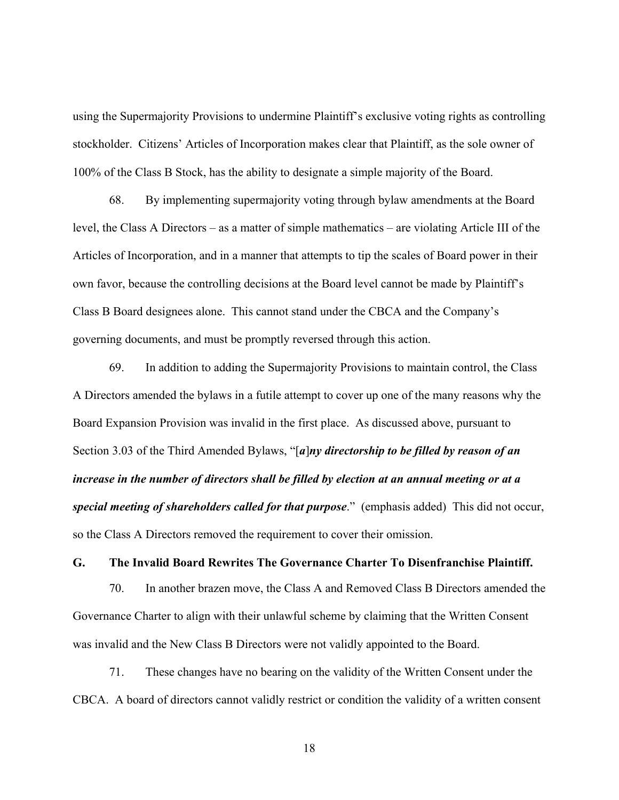using the Supermajority Provisions to undermine Plaintiff's exclusive voting rights as controlling stockholder. Citizens' Articles of Incorporation makes clear that Plaintiff, as the sole owner of 100% of the Class B Stock, has the ability to designate a simple majority of the Board.

68. By implementing supermajority voting through bylaw amendments at the Board level, the Class A Directors – as a matter of simple mathematics – are violating Article III of the Articles of Incorporation, and in a manner that attempts to tip the scales of Board power in their own favor, because the controlling decisions at the Board level cannot be made by Plaintiff's Class B Board designees alone. This cannot stand under the CBCA and the Company's governing documents, and must be promptly reversed through this action.

69. In addition to adding the Supermajority Provisions to maintain control, the Class A Directors amended the bylaws in a futile attempt to cover up one of the many reasons why the Board Expansion Provision was invalid in the first place. As discussed above, pursuant to Section 3.03 of the Third Amended Bylaws, "[*a*]*ny directorship to be filled by reason of an increase in the number of directors shall be filled by election at an annual meeting or at a special meeting of shareholders called for that purpose*." (emphasis added) This did not occur, so the Class A Directors removed the requirement to cover their omission.

**G. The Invalid Board Rewrites The Governance Charter To Disenfranchise Plaintiff.** 

70. In another brazen move, the Class A and Removed Class B Directors amended the Governance Charter to align with their unlawful scheme by claiming that the Written Consent was invalid and the New Class B Directors were not validly appointed to the Board.

71. These changes have no bearing on the validity of the Written Consent under the CBCA. A board of directors cannot validly restrict or condition the validity of a written consent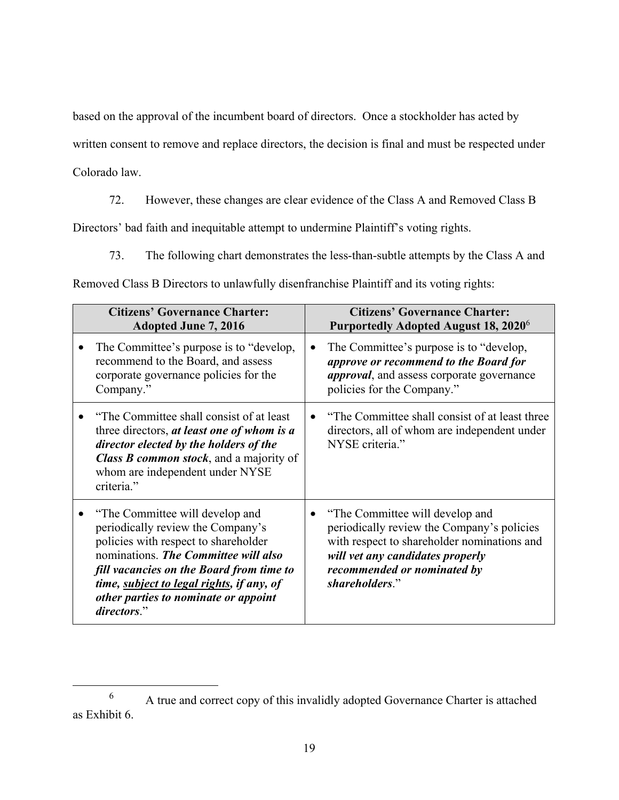based on the approval of the incumbent board of directors. Once a stockholder has acted by

written consent to remove and replace directors, the decision is final and must be respected under

Colorado law.

72. However, these changes are clear evidence of the Class A and Removed Class B

Directors' bad faith and inequitable attempt to undermine Plaintiff's voting rights.

73. The following chart demonstrates the less-than-subtle attempts by the Class A and

Removed Class B Directors to unlawfully disenfranchise Plaintiff and its voting rights:

| <b>Citizens' Governance Charter:</b>                                                                                                                                                                                                                                                                 | <b>Citizens' Governance Charter:</b>                                                                                                                                                                              |  |
|------------------------------------------------------------------------------------------------------------------------------------------------------------------------------------------------------------------------------------------------------------------------------------------------------|-------------------------------------------------------------------------------------------------------------------------------------------------------------------------------------------------------------------|--|
| <b>Adopted June 7, 2016</b>                                                                                                                                                                                                                                                                          | Purportedly Adopted August 18, 2020 <sup>6</sup>                                                                                                                                                                  |  |
| The Committee's purpose is to "develop,                                                                                                                                                                                                                                                              | The Committee's purpose is to "develop,                                                                                                                                                                           |  |
| $\bullet$                                                                                                                                                                                                                                                                                            | $\bullet$                                                                                                                                                                                                         |  |
| recommend to the Board, and assess                                                                                                                                                                                                                                                                   | approve or recommend to the Board for                                                                                                                                                                             |  |
| corporate governance policies for the                                                                                                                                                                                                                                                                | <i>approval</i> , and assess corporate governance                                                                                                                                                                 |  |
| Company."                                                                                                                                                                                                                                                                                            | policies for the Company."                                                                                                                                                                                        |  |
| "The Committee shall consist of at least"<br>three directors, at least one of whom is a<br>director elected by the holders of the<br><b>Class B common stock</b> , and a majority of<br>whom are independent under NYSE<br>criteria."                                                                | "The Committee shall consist of at least three"<br>$\bullet$<br>directors, all of whom are independent under<br>NYSE criteria."                                                                                   |  |
| "The Committee will develop and<br>periodically review the Company's<br>policies with respect to shareholder<br>nominations. The Committee will also<br>fill vacancies on the Board from time to<br>time, subject to legal rights, if any, of<br>other parties to nominate or appoint<br>directors." | "The Committee will develop and<br>periodically review the Company's policies<br>with respect to shareholder nominations and<br>will vet any candidates properly<br>recommended or nominated by<br>shareholders." |  |

 <sup>6</sup> <sup>6</sup> A true and correct copy of this invalidly adopted Governance Charter is attached as Exhibit 6.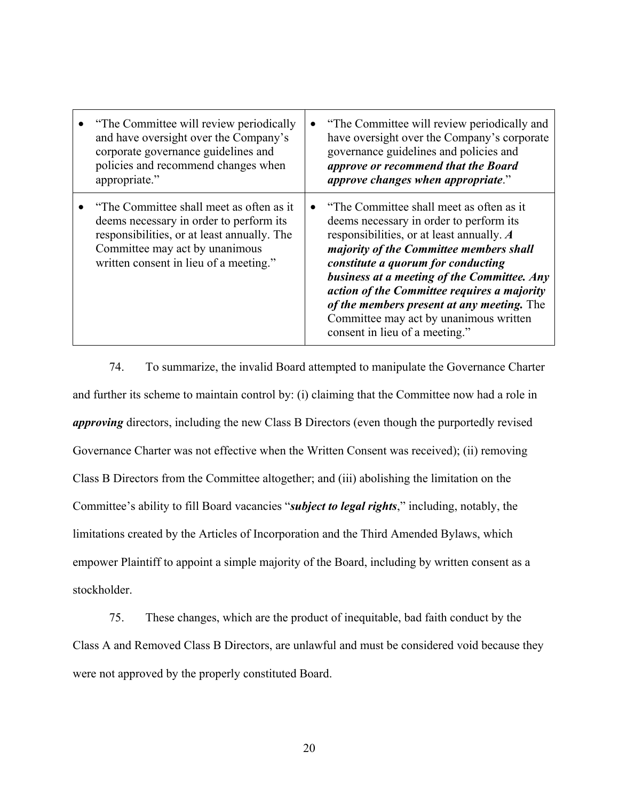| "The Committee will review periodically"<br>and have oversight over the Company's<br>corporate governance guidelines and<br>policies and recommend changes when<br>appropriate."                               | • "The Committee will review periodically and<br>have oversight over the Company's corporate<br>governance guidelines and policies and<br>approve or recommend that the Board<br>approve changes when appropriate."                                                                                                                                                                                                                                 |
|----------------------------------------------------------------------------------------------------------------------------------------------------------------------------------------------------------------|-----------------------------------------------------------------------------------------------------------------------------------------------------------------------------------------------------------------------------------------------------------------------------------------------------------------------------------------------------------------------------------------------------------------------------------------------------|
| "The Committee shall meet as often as it<br>deems necessary in order to perform its<br>responsibilities, or at least annually. The<br>Committee may act by unanimous<br>written consent in lieu of a meeting." | • "The Committee shall meet as often as it<br>deems necessary in order to perform its<br>responsibilities, or at least annually. $\vec{A}$<br>majority of the Committee members shall<br>constitute a quorum for conducting<br>business at a meeting of the Committee. Any<br>action of the Committee requires a majority<br>of the members present at any meeting. The<br>Committee may act by unanimous written<br>consent in lieu of a meeting." |

74. To summarize, the invalid Board attempted to manipulate the Governance Charter and further its scheme to maintain control by: (i) claiming that the Committee now had a role in *approving* directors, including the new Class B Directors (even though the purportedly revised Governance Charter was not effective when the Written Consent was received); (ii) removing Class B Directors from the Committee altogether; and (iii) abolishing the limitation on the Committee's ability to fill Board vacancies "*subject to legal rights*," including, notably, the limitations created by the Articles of Incorporation and the Third Amended Bylaws, which empower Plaintiff to appoint a simple majority of the Board, including by written consent as a stockholder.

75. These changes, which are the product of inequitable, bad faith conduct by the Class A and Removed Class B Directors, are unlawful and must be considered void because they were not approved by the properly constituted Board.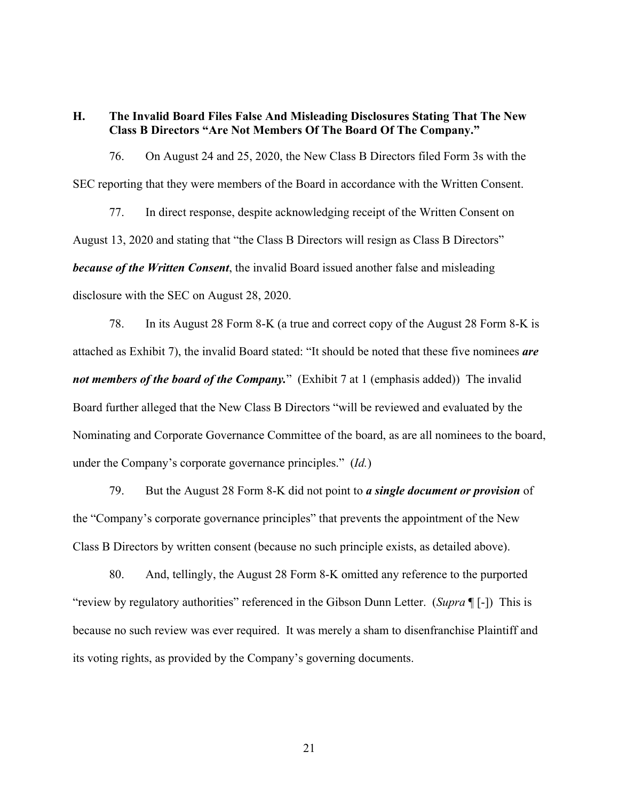**H. The Invalid Board Files False And Misleading Disclosures Stating That The New Class B Directors "Are Not Members Of The Board Of The Company."** 

76. On August 24 and 25, 2020, the New Class B Directors filed Form 3s with the SEC reporting that they were members of the Board in accordance with the Written Consent.

77. In direct response, despite acknowledging receipt of the Written Consent on August 13, 2020 and stating that "the Class B Directors will resign as Class B Directors" *because of the Written Consent*, the invalid Board issued another false and misleading disclosure with the SEC on August 28, 2020.

78. In its August 28 Form 8-K (a true and correct copy of the August 28 Form 8-K is attached as Exhibit 7), the invalid Board stated: "It should be noted that these five nominees *are not members of the board of the Company.*" (Exhibit 7 at 1 (emphasis added)) The invalid Board further alleged that the New Class B Directors "will be reviewed and evaluated by the Nominating and Corporate Governance Committee of the board, as are all nominees to the board, under the Company's corporate governance principles." (*Id.*)

79. But the August 28 Form 8-K did not point to *a single document or provision* of the "Company's corporate governance principles" that prevents the appointment of the New Class B Directors by written consent (because no such principle exists, as detailed above).

80. And, tellingly, the August 28 Form 8-K omitted any reference to the purported "review by regulatory authorities" referenced in the Gibson Dunn Letter. (*Supra* ¶ [-])This is because no such review was ever required. It was merely a sham to disenfranchise Plaintiff and its voting rights, as provided by the Company's governing documents.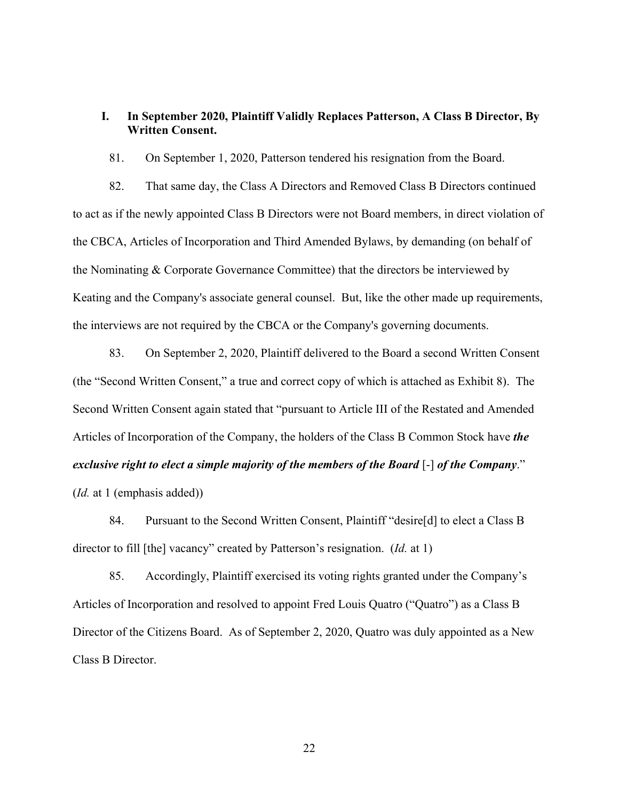# **I. In September 2020, Plaintiff Validly Replaces Patterson, A Class B Director, By Written Consent.**

81. On September 1, 2020, Patterson tendered his resignation from the Board.

82. That same day, the Class A Directors and Removed Class B Directors continued to act as if the newly appointed Class B Directors were not Board members, in direct violation of the CBCA, Articles of Incorporation and Third Amended Bylaws, by demanding (on behalf of the Nominating & Corporate Governance Committee) that the directors be interviewed by Keating and the Company's associate general counsel. But, like the other made up requirements, the interviews are not required by the CBCA or the Company's governing documents.

83. On September 2, 2020, Plaintiff delivered to the Board a second Written Consent (the "Second Written Consent," a true and correct copy of which is attached as Exhibit 8). The Second Written Consent again stated that "pursuant to Article III of the Restated and Amended Articles of Incorporation of the Company, the holders of the Class B Common Stock have *the exclusive right to elect a simple majority of the members of the Board [-] of the Company.*" (*Id.* at 1 (emphasis added))

84. Pursuant to the Second Written Consent, Plaintiff "desire[d] to elect a Class B director to fill [the] vacancy" created by Patterson's resignation. (*Id.* at 1)

85. Accordingly, Plaintiff exercised its voting rights granted under the Company's Articles of Incorporation and resolved to appoint Fred Louis Quatro ("Quatro") as a Class B Director of the Citizens Board. As of September 2, 2020, Quatro was duly appointed as a New Class B Director.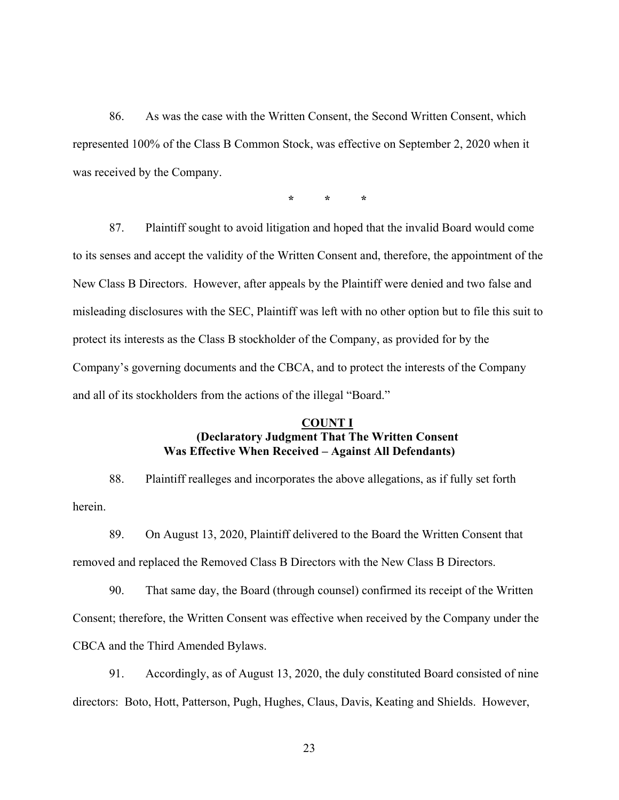86. As was the case with the Written Consent, the Second Written Consent, which represented 100% of the Class B Common Stock, was effective on September 2, 2020 when it was received by the Company.

**\* \* \*** 

87. Plaintiff sought to avoid litigation and hoped that the invalid Board would come to its senses and accept the validity of the Written Consent and, therefore, the appointment of the New Class B Directors. However, after appeals by the Plaintiff were denied and two false and misleading disclosures with the SEC, Plaintiff was left with no other option but to file this suit to protect its interests as the Class B stockholder of the Company, as provided for by the Company's governing documents and the CBCA, and to protect the interests of the Company and all of its stockholders from the actions of the illegal "Board."

### **COUNT I (Declaratory Judgment That The Written Consent Was Effective When Received – Against All Defendants)**

88. Plaintiff realleges and incorporates the above allegations, as if fully set forth herein.

89. On August 13, 2020, Plaintiff delivered to the Board the Written Consent that removed and replaced the Removed Class B Directors with the New Class B Directors.

90. That same day, the Board (through counsel) confirmed its receipt of the Written Consent; therefore, the Written Consent was effective when received by the Company under the CBCA and the Third Amended Bylaws.

91. Accordingly, as of August 13, 2020, the duly constituted Board consisted of nine directors: Boto, Hott, Patterson, Pugh, Hughes, Claus, Davis, Keating and Shields. However,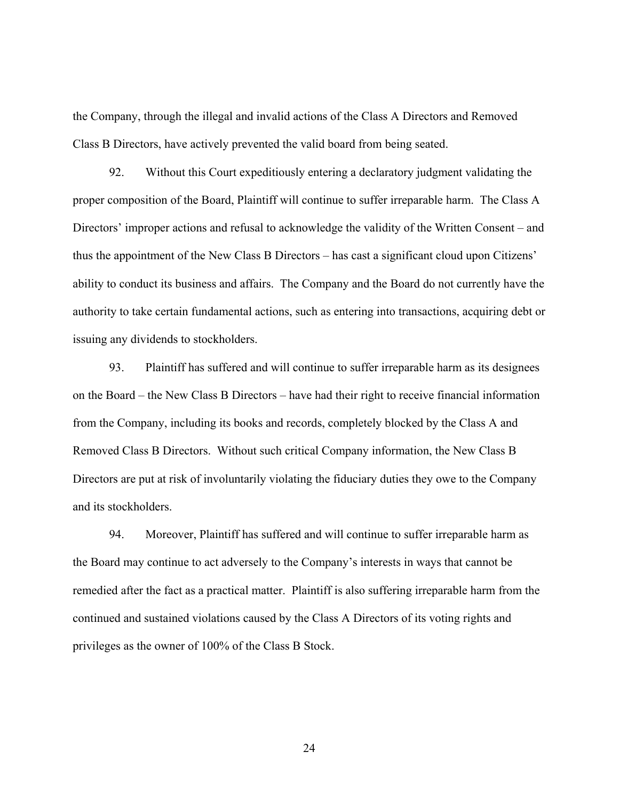the Company, through the illegal and invalid actions of the Class A Directors and Removed Class B Directors, have actively prevented the valid board from being seated.

92. Without this Court expeditiously entering a declaratory judgment validating the proper composition of the Board, Plaintiff will continue to suffer irreparable harm. The Class A Directors' improper actions and refusal to acknowledge the validity of the Written Consent – and thus the appointment of the New Class B Directors – has cast a significant cloud upon Citizens' ability to conduct its business and affairs. The Company and the Board do not currently have the authority to take certain fundamental actions, such as entering into transactions, acquiring debt or issuing any dividends to stockholders.

93. Plaintiff has suffered and will continue to suffer irreparable harm as its designees on the Board – the New Class B Directors – have had their right to receive financial information from the Company, including its books and records, completely blocked by the Class A and Removed Class B Directors. Without such critical Company information, the New Class B Directors are put at risk of involuntarily violating the fiduciary duties they owe to the Company and its stockholders.

94. Moreover, Plaintiff has suffered and will continue to suffer irreparable harm as the Board may continue to act adversely to the Company's interests in ways that cannot be remedied after the fact as a practical matter. Plaintiff is also suffering irreparable harm from the continued and sustained violations caused by the Class A Directors of its voting rights and privileges as the owner of 100% of the Class B Stock.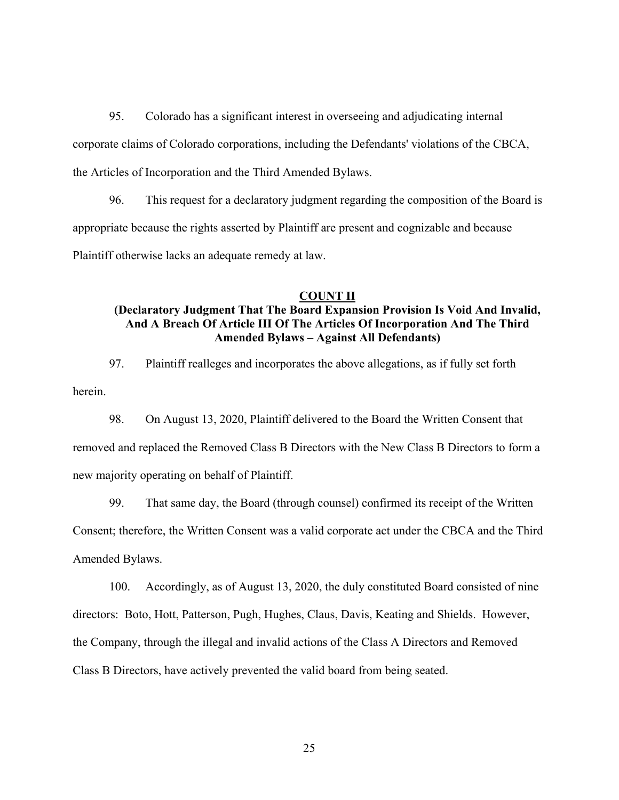95. Colorado has a significant interest in overseeing and adjudicating internal corporate claims of Colorado corporations, including the Defendants' violations of the CBCA, the Articles of Incorporation and the Third Amended Bylaws.

96. This request for a declaratory judgment regarding the composition of the Board is appropriate because the rights asserted by Plaintiff are present and cognizable and because Plaintiff otherwise lacks an adequate remedy at law.

### **COUNT II**

## **(Declaratory Judgment That The Board Expansion Provision Is Void And Invalid, And A Breach Of Article III Of The Articles Of Incorporation And The Third Amended Bylaws – Against All Defendants)**

97. Plaintiff realleges and incorporates the above allegations, as if fully set forth herein.

98. On August 13, 2020, Plaintiff delivered to the Board the Written Consent that removed and replaced the Removed Class B Directors with the New Class B Directors to form a new majority operating on behalf of Plaintiff.

99. That same day, the Board (through counsel) confirmed its receipt of the Written Consent; therefore, the Written Consent was a valid corporate act under the CBCA and the Third Amended Bylaws.

100. Accordingly, as of August 13, 2020, the duly constituted Board consisted of nine directors: Boto, Hott, Patterson, Pugh, Hughes, Claus, Davis, Keating and Shields. However, the Company, through the illegal and invalid actions of the Class A Directors and Removed Class B Directors, have actively prevented the valid board from being seated.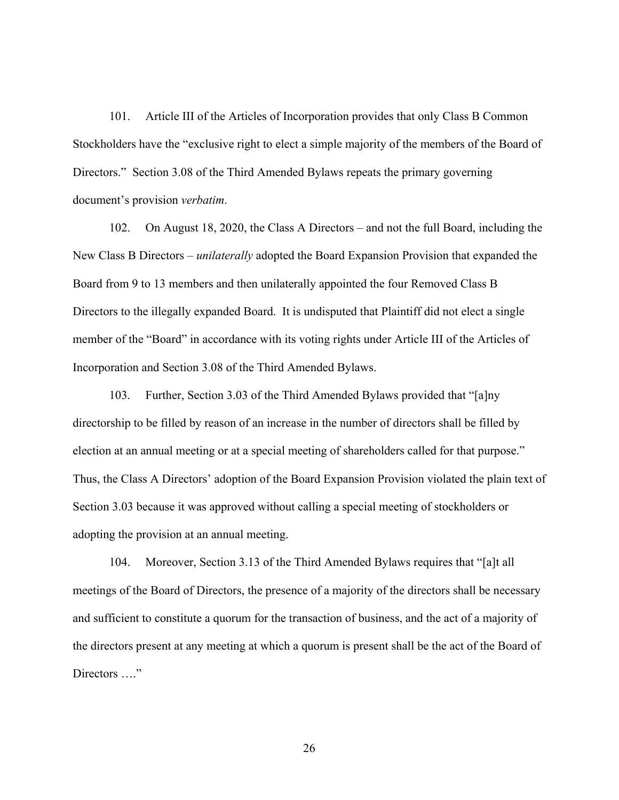101. Article III of the Articles of Incorporation provides that only Class B Common Stockholders have the "exclusive right to elect a simple majority of the members of the Board of Directors." Section 3.08 of the Third Amended Bylaws repeats the primary governing document's provision *verbatim*.

102. On August 18, 2020, the Class A Directors – and not the full Board, including the New Class B Directors – *unilaterally* adopted the Board Expansion Provision that expanded the Board from 9 to 13 members and then unilaterally appointed the four Removed Class B Directors to the illegally expanded Board. It is undisputed that Plaintiff did not elect a single member of the "Board" in accordance with its voting rights under Article III of the Articles of Incorporation and Section 3.08 of the Third Amended Bylaws.

103. Further, Section 3.03 of the Third Amended Bylaws provided that "[a]ny directorship to be filled by reason of an increase in the number of directors shall be filled by election at an annual meeting or at a special meeting of shareholders called for that purpose." Thus, the Class A Directors' adoption of the Board Expansion Provision violated the plain text of Section 3.03 because it was approved without calling a special meeting of stockholders or adopting the provision at an annual meeting.

104. Moreover, Section 3.13 of the Third Amended Bylaws requires that "[a]t all meetings of the Board of Directors, the presence of a majority of the directors shall be necessary and sufficient to constitute a quorum for the transaction of business, and the act of a majority of the directors present at any meeting at which a quorum is present shall be the act of the Board of Directors ...."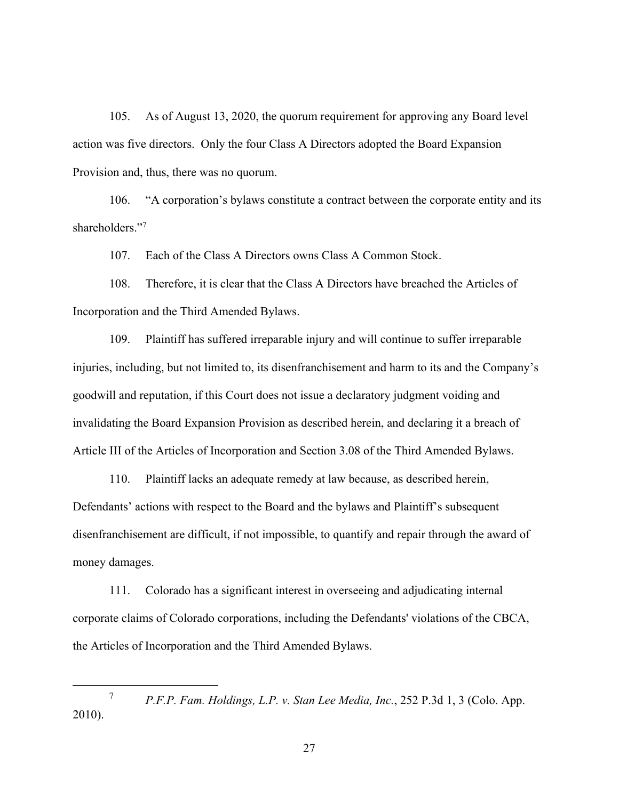105. As of August 13, 2020, the quorum requirement for approving any Board level action was five directors. Only the four Class A Directors adopted the Board Expansion Provision and, thus, there was no quorum.

106. "A corporation's bylaws constitute a contract between the corporate entity and its shareholders."<sup>7</sup>

107. Each of the Class A Directors owns Class A Common Stock.

108. Therefore, it is clear that the Class A Directors have breached the Articles of Incorporation and the Third Amended Bylaws.

109. Plaintiff has suffered irreparable injury and will continue to suffer irreparable injuries, including, but not limited to, its disenfranchisement and harm to its and the Company's goodwill and reputation, if this Court does not issue a declaratory judgment voiding and invalidating the Board Expansion Provision as described herein, and declaring it a breach of Article III of the Articles of Incorporation and Section 3.08 of the Third Amended Bylaws.

110. Plaintiff lacks an adequate remedy at law because, as described herein, Defendants' actions with respect to the Board and the bylaws and Plaintiff's subsequent disenfranchisement are difficult, if not impossible, to quantify and repair through the award of money damages.

111. Colorado has a significant interest in overseeing and adjudicating internal corporate claims of Colorado corporations, including the Defendants' violations of the CBCA, the Articles of Incorporation and the Third Amended Bylaws.

 $\overline{7}$  *P.F.P. Fam. Holdings, L.P. v. Stan Lee Media, Inc.*, 252 P.3d 1, 3 (Colo. App. 2010).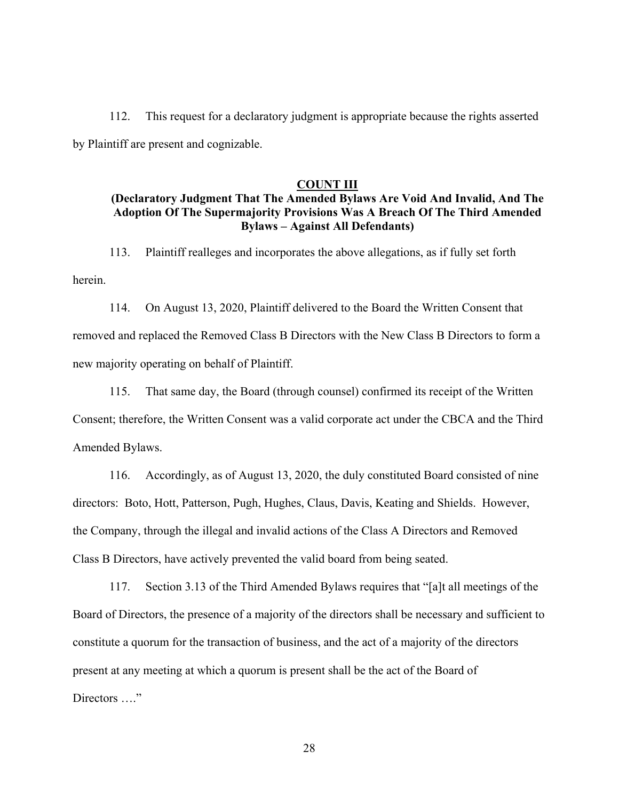112. This request for a declaratory judgment is appropriate because the rights asserted by Plaintiff are present and cognizable.

#### **COUNT III**

# **(Declaratory Judgment That The Amended Bylaws Are Void And Invalid, And The Adoption Of The Supermajority Provisions Was A Breach Of The Third Amended Bylaws – Against All Defendants)**

113. Plaintiff realleges and incorporates the above allegations, as if fully set forth herein.

114. On August 13, 2020, Plaintiff delivered to the Board the Written Consent that removed and replaced the Removed Class B Directors with the New Class B Directors to form a new majority operating on behalf of Plaintiff.

115. That same day, the Board (through counsel) confirmed its receipt of the Written Consent; therefore, the Written Consent was a valid corporate act under the CBCA and the Third Amended Bylaws.

116. Accordingly, as of August 13, 2020, the duly constituted Board consisted of nine directors: Boto, Hott, Patterson, Pugh, Hughes, Claus, Davis, Keating and Shields. However, the Company, through the illegal and invalid actions of the Class A Directors and Removed Class B Directors, have actively prevented the valid board from being seated.

117. Section 3.13 of the Third Amended Bylaws requires that "[a]t all meetings of the Board of Directors, the presence of a majority of the directors shall be necessary and sufficient to constitute a quorum for the transaction of business, and the act of a majority of the directors present at any meeting at which a quorum is present shall be the act of the Board of Directors ...."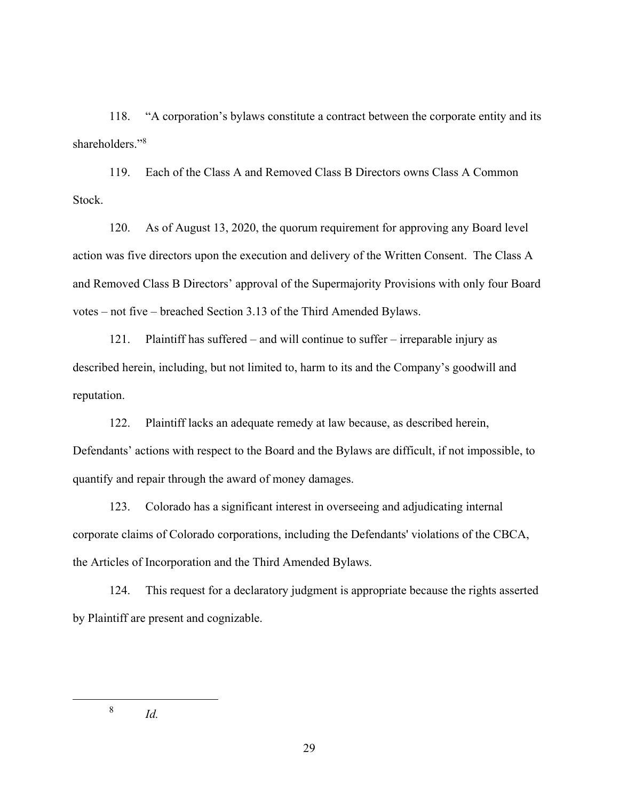118. "A corporation's bylaws constitute a contract between the corporate entity and its shareholders."<sup>8</sup>

119. Each of the Class A and Removed Class B Directors owns Class A Common Stock.

120. As of August 13, 2020, the quorum requirement for approving any Board level action was five directors upon the execution and delivery of the Written Consent. The Class A and Removed Class B Directors' approval of the Supermajority Provisions with only four Board votes – not five – breached Section 3.13 of the Third Amended Bylaws.

121. Plaintiff has suffered – and will continue to suffer – irreparable injury as described herein, including, but not limited to, harm to its and the Company's goodwill and reputation.

122. Plaintiff lacks an adequate remedy at law because, as described herein, Defendants' actions with respect to the Board and the Bylaws are difficult, if not impossible, to quantify and repair through the award of money damages.

123. Colorado has a significant interest in overseeing and adjudicating internal corporate claims of Colorado corporations, including the Defendants' violations of the CBCA, the Articles of Incorporation and the Third Amended Bylaws.

124. This request for a declaratory judgment is appropriate because the rights asserted by Plaintiff are present and cognizable.

 8 *Id.*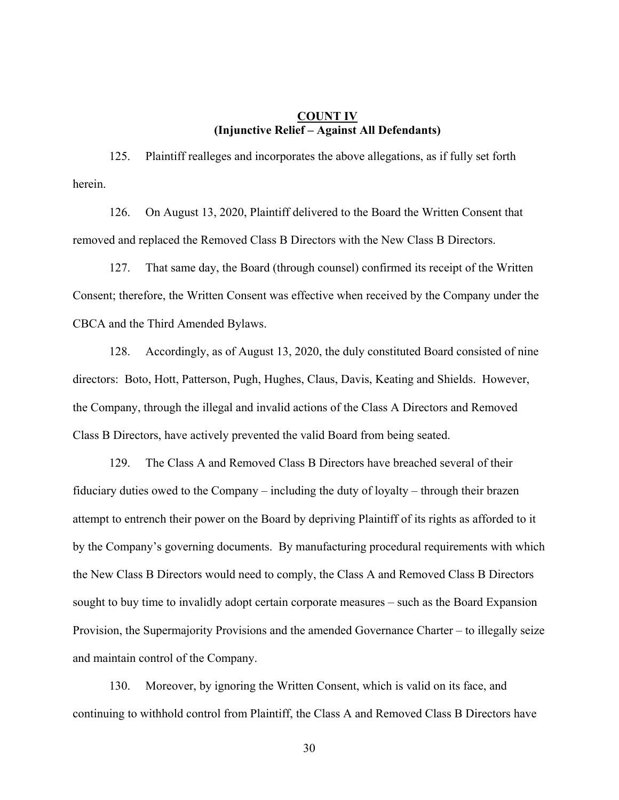### **COUNT IV (Injunctive Relief – Against All Defendants)**

125. Plaintiff realleges and incorporates the above allegations, as if fully set forth herein.

126. On August 13, 2020, Plaintiff delivered to the Board the Written Consent that removed and replaced the Removed Class B Directors with the New Class B Directors.

127. That same day, the Board (through counsel) confirmed its receipt of the Written Consent; therefore, the Written Consent was effective when received by the Company under the CBCA and the Third Amended Bylaws.

128. Accordingly, as of August 13, 2020, the duly constituted Board consisted of nine directors: Boto, Hott, Patterson, Pugh, Hughes, Claus, Davis, Keating and Shields. However, the Company, through the illegal and invalid actions of the Class A Directors and Removed Class B Directors, have actively prevented the valid Board from being seated.

129. The Class A and Removed Class B Directors have breached several of their fiduciary duties owed to the Company – including the duty of loyalty – through their brazen attempt to entrench their power on the Board by depriving Plaintiff of its rights as afforded to it by the Company's governing documents. By manufacturing procedural requirements with which the New Class B Directors would need to comply, the Class A and Removed Class B Directors sought to buy time to invalidly adopt certain corporate measures – such as the Board Expansion Provision, the Supermajority Provisions and the amended Governance Charter – to illegally seize and maintain control of the Company.

130. Moreover, by ignoring the Written Consent, which is valid on its face, and continuing to withhold control from Plaintiff, the Class A and Removed Class B Directors have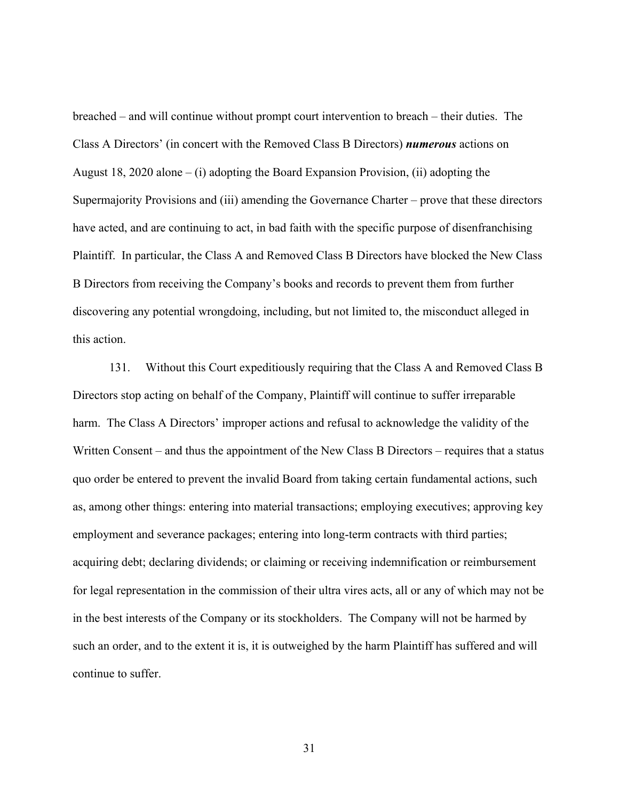breached – and will continue without prompt court intervention to breach – their duties. The Class A Directors' (in concert with the Removed Class B Directors) *numerous* actions on August 18, 2020 alone – (i) adopting the Board Expansion Provision, (ii) adopting the Supermajority Provisions and (iii) amending the Governance Charter – prove that these directors have acted, and are continuing to act, in bad faith with the specific purpose of disenfranchising Plaintiff. In particular, the Class A and Removed Class B Directors have blocked the New Class B Directors from receiving the Company's books and records to prevent them from further discovering any potential wrongdoing, including, but not limited to, the misconduct alleged in this action.

131. Without this Court expeditiously requiring that the Class A and Removed Class B Directors stop acting on behalf of the Company, Plaintiff will continue to suffer irreparable harm. The Class A Directors' improper actions and refusal to acknowledge the validity of the Written Consent – and thus the appointment of the New Class B Directors – requires that a status quo order be entered to prevent the invalid Board from taking certain fundamental actions, such as, among other things: entering into material transactions; employing executives; approving key employment and severance packages; entering into long-term contracts with third parties; acquiring debt; declaring dividends; or claiming or receiving indemnification or reimbursement for legal representation in the commission of their ultra vires acts, all or any of which may not be in the best interests of the Company or its stockholders. The Company will not be harmed by such an order, and to the extent it is, it is outweighed by the harm Plaintiff has suffered and will continue to suffer.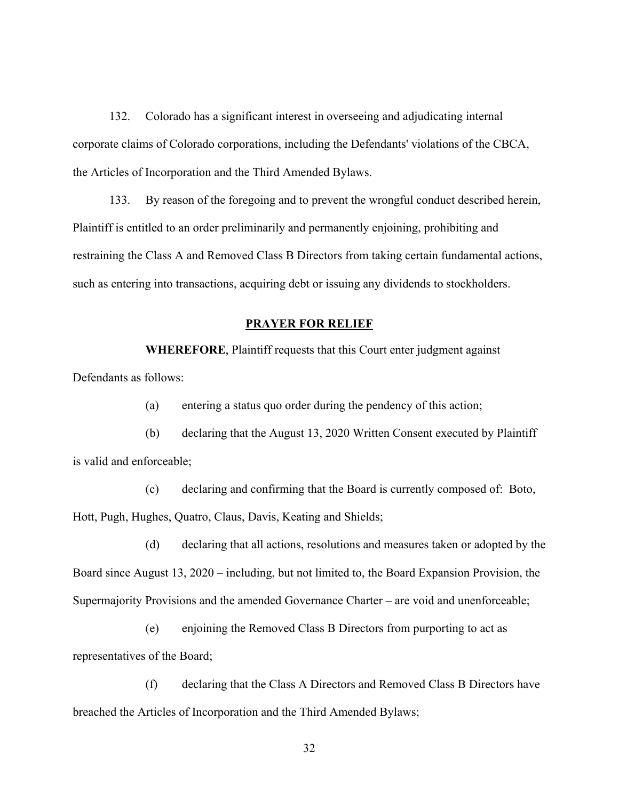132. Colorado has a significant interest in overseeing and adjudicating internal corporate claims of Colorado corporations, including the Defendants' violations of the CBCA, the Articles of Incorporation and the Third Amended Bylaws.

133. By reason of the foregoing and to prevent the wrongful conduct described herein, Plaintiff is entitled to an order preliminarily and permanently enjoining, prohibiting and restraining the Class A and Removed Class B Directors from taking certain fundamental actions, such as entering into transactions, acquiring debt or issuing any dividends to stockholders.

### **PRAYER FOR RELIEF**

**WHEREFORE**, Plaintiff requests that this Court enter judgment against Defendants as follows:

(a) entering a status quo order during the pendency of this action;

(b) declaring that the August 13, 2020 Written Consent executed by Plaintiff is valid and enforceable;

(c) declaring and confirming that the Board is currently composed of: Boto, Hott, Pugh, Hughes, Quatro, Claus, Davis, Keating and Shields;

(d) declaring that all actions, resolutions and measures taken or adopted by the Board since August 13, 2020 – including, but not limited to, the Board Expansion Provision, the Supermajority Provisions and the amended Governance Charter – are void and unenforceable;

(e) enjoining the Removed Class B Directors from purporting to act as representatives of the Board;

(f) declaring that the Class A Directors and Removed Class B Directors have breached the Articles of Incorporation and the Third Amended Bylaws;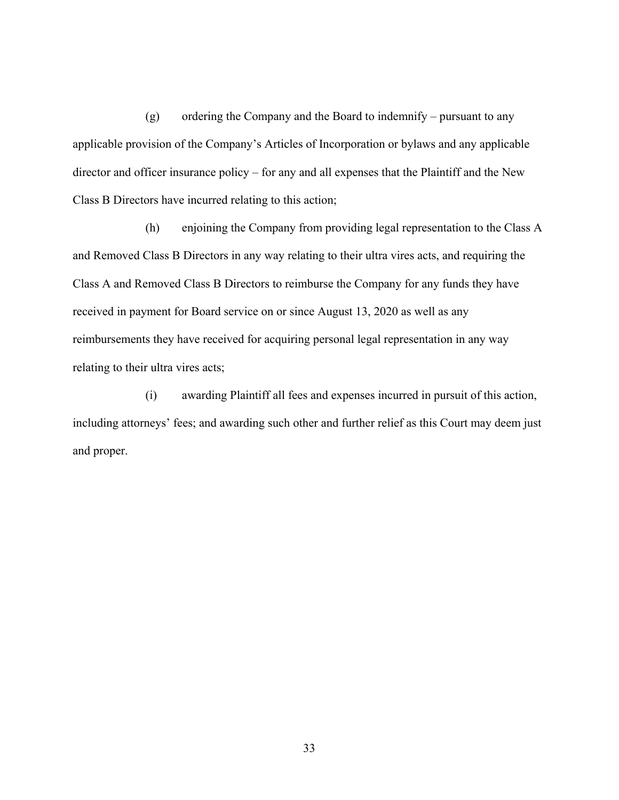(g) ordering the Company and the Board to indemnify – pursuant to any applicable provision of the Company's Articles of Incorporation or bylaws and any applicable director and officer insurance policy – for any and all expenses that the Plaintiff and the New Class B Directors have incurred relating to this action;

(h) enjoining the Company from providing legal representation to the Class A and Removed Class B Directors in any way relating to their ultra vires acts, and requiring the Class A and Removed Class B Directors to reimburse the Company for any funds they have received in payment for Board service on or since August 13, 2020 as well as any reimbursements they have received for acquiring personal legal representation in any way relating to their ultra vires acts;

(i) awarding Plaintiff all fees and expenses incurred in pursuit of this action, including attorneys' fees; and awarding such other and further relief as this Court may deem just and proper.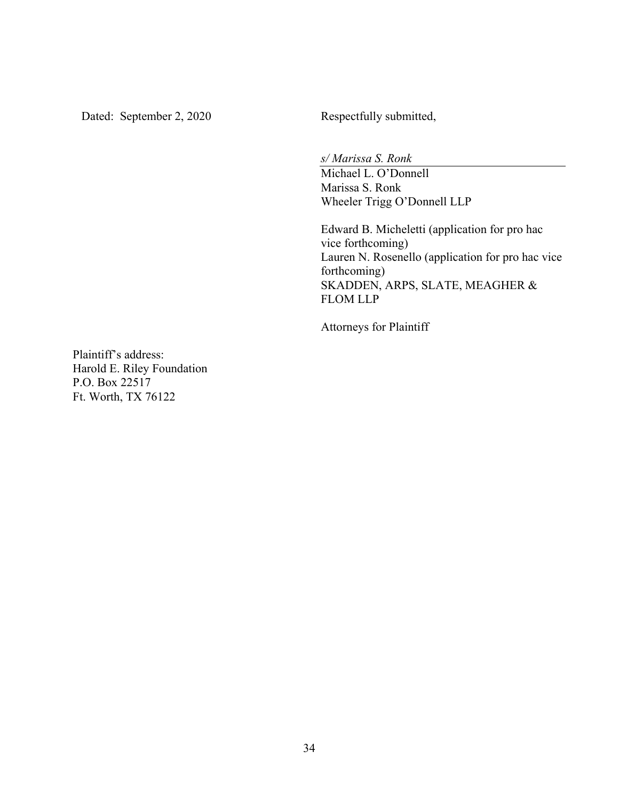Dated: September 2, 2020 Respectfully submitted,

*s/ Marissa S. Ronk* 

 Michael L. O'Donnell Marissa S. Ronk Wheeler Trigg O'Donnell LLP

 Edward B. Micheletti (application for pro hac vice forthcoming) Lauren N. Rosenello (application for pro hac vice forthcoming) SKADDEN, ARPS, SLATE, MEAGHER & FLOM LLP

Attorneys for Plaintiff

Plaintiff's address: Harold E. Riley Foundation P.O. Box 22517 Ft. Worth, TX 76122